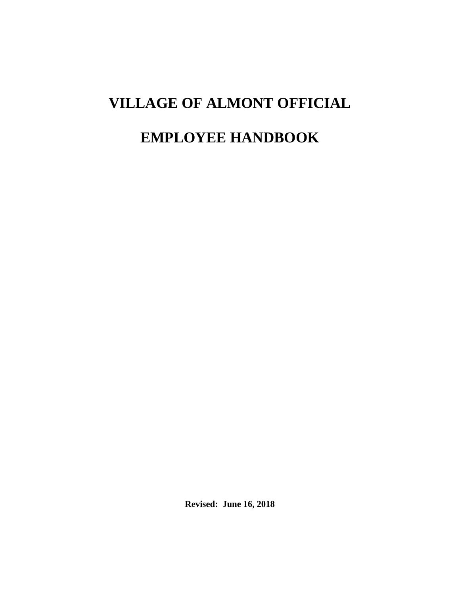# **VILLAGE OF ALMONT OFFICIAL**

# **EMPLOYEE HANDBOOK**

**Revised: June 16, 2018**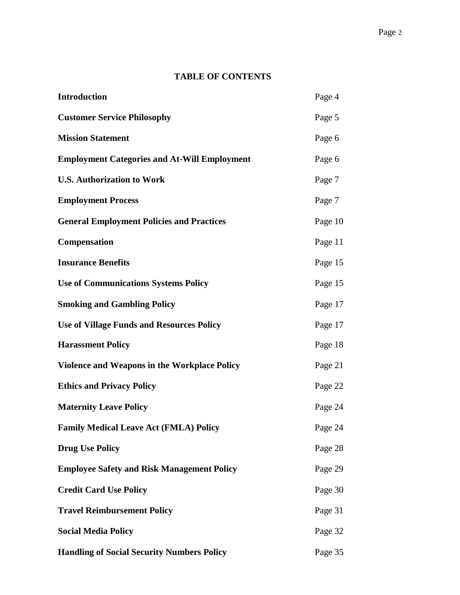# **TABLE OF CONTENTS**

| <b>Introduction</b>                                 | Page 4  |
|-----------------------------------------------------|---------|
| <b>Customer Service Philosophy</b>                  | Page 5  |
| <b>Mission Statement</b>                            | Page 6  |
| <b>Employment Categories and At-Will Employment</b> | Page 6  |
| <b>U.S. Authorization to Work</b>                   | Page 7  |
| <b>Employment Process</b>                           | Page 7  |
| <b>General Employment Policies and Practices</b>    | Page 10 |
| <b>Compensation</b>                                 | Page 11 |
| <b>Insurance Benefits</b>                           | Page 15 |
| <b>Use of Communications Systems Policy</b>         | Page 15 |
| <b>Smoking and Gambling Policy</b>                  | Page 17 |
| <b>Use of Village Funds and Resources Policy</b>    | Page 17 |
| <b>Harassment Policy</b>                            | Page 18 |
| <b>Violence and Weapons in the Workplace Policy</b> | Page 21 |
| <b>Ethics and Privacy Policy</b>                    | Page 22 |
| <b>Maternity Leave Policy</b>                       | Page 24 |
| <b>Family Medical Leave Act (FMLA) Policy</b>       | Page 24 |
| <b>Drug Use Policy</b>                              | Page 28 |
| <b>Employee Safety and Risk Management Policy</b>   | Page 29 |
| <b>Credit Card Use Policy</b>                       | Page 30 |
| <b>Travel Reimbursement Policy</b>                  | Page 31 |
| <b>Social Media Policy</b>                          | Page 32 |
| <b>Handling of Social Security Numbers Policy</b>   | Page 35 |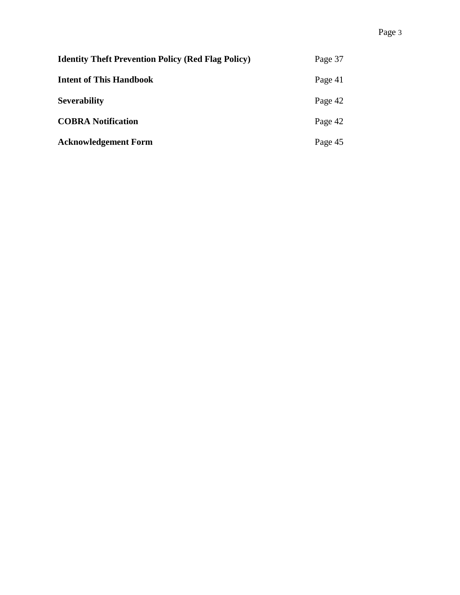| <b>Identity Theft Prevention Policy (Red Flag Policy)</b> | Page 37 |
|-----------------------------------------------------------|---------|
| <b>Intent of This Handbook</b>                            | Page 41 |
| <b>Severability</b>                                       | Page 42 |
| <b>COBRA Notification</b>                                 | Page 42 |
| <b>Acknowledgement Form</b>                               | Page 45 |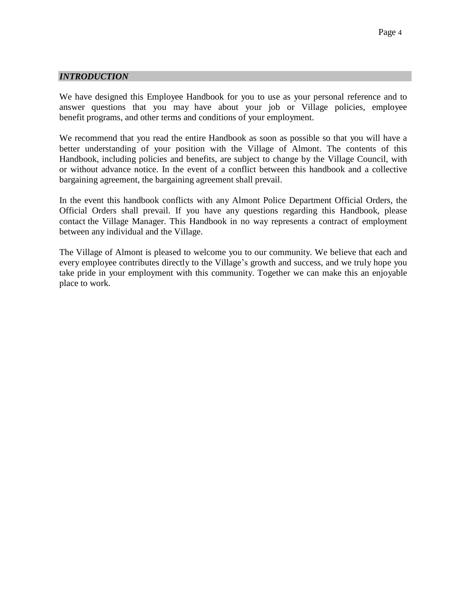# *INTRODUCTION*

We have designed this Employee Handbook for you to use as your personal reference and to answer questions that you may have about your job or Village policies, employee benefit programs, and other terms and conditions of your employment.

We recommend that you read the entire Handbook as soon as possible so that you will have a better understanding of your position with the Village of Almont. The contents of this Handbook, including policies and benefits, are subject to change by the Village Council, with or without advance notice. In the event of a conflict between this handbook and a collective bargaining agreement, the bargaining agreement shall prevail.

In the event this handbook conflicts with any Almont Police Department Official Orders, the Official Orders shall prevail. If you have any questions regarding this Handbook, please contact the Village Manager. This Handbook in no way represents a contract of employment between any individual and the Village.

The Village of Almont is pleased to welcome you to our community. We believe that each and every employee contributes directly to the Village's growth and success, and we truly hope you take pride in your employment with this community. Together we can make this an enjoyable place to work.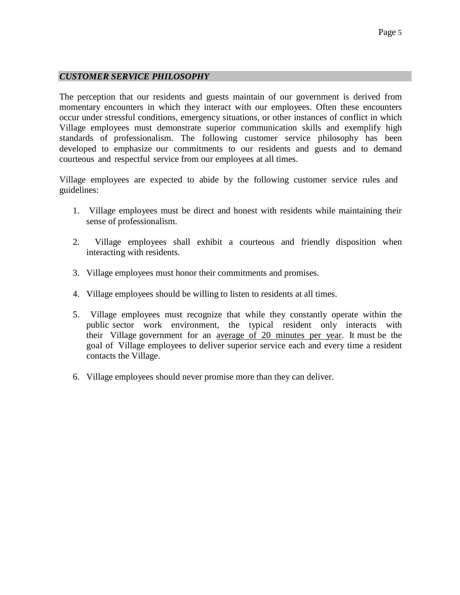# *CUSTOMER SERVICE PHILOSOPHY*

The perception that our residents and guests maintain of our government is derived from momentary encounters in which they interact with our employees. Often these encounters occur under stressful conditions, emergency situations, or other instances of conflict in which Village employees must demonstrate superior communication skills and exemplify high standards of professionalism. The following customer service philosophy has been developed to emphasize our commitments to our residents and guests and to demand courteous and respectful service from our employees at all times.

Village employees are expected to abide by the following customer service rules and guidelines:

- 1. Village employees must be direct and honest with residents while maintaining their sense of professionalism.
- 2. Village employees shall exhibit a courteous and friendly disposition when interacting with residents.
- 3. Village employees must honor their commitments and promises.
- 4. Village employees should be willing to listen to residents at all times.
- 5. Village employees must recognize that while they constantly operate within the public sector work environment, the typical resident only interacts with their Village government for an average of 20 minutes per year. It must be the goal of Village employees to deliver superior service each and every time a resident contacts the Village.
- 6. Village employees should never promise more than they can deliver.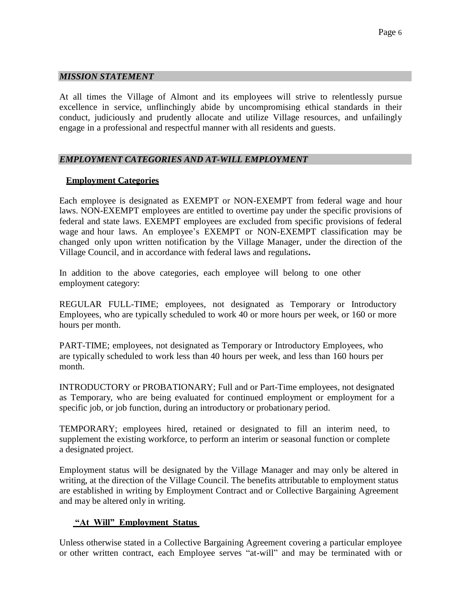# *MISSION STATEMENT*

At all times the Village of Almont and its employees will strive to relentlessly pursue excellence in service, unflinchingly abide by uncompromising ethical standards in their conduct, judiciously and prudently allocate and utilize Village resources, and unfailingly engage in a professional and respectful manner with all residents and guests.

# *EMPLOYMENT CATEGORIES AND AT-WILL EMPLOYMENT*

# **Employment Categories**

Each employee is designated as EXEMPT or NON-EXEMPT from federal wage and hour laws. NON-EXEMPT employees are entitled to overtime pay under the specific provisions of federal and state laws. EXEMPT employees are excluded from specific provisions of federal wage and hour laws. An employee's EXEMPT or NON-EXEMPT classification may be changed only upon written notification by the Village Manager, under the direction of the Village Council, and in accordance with federal laws and regulations**.**

In addition to the above categories, each employee will belong to one other employment category:

REGULAR FULL-TIME; employees, not designated as Temporary or Introductory Employees, who are typically scheduled to work 40 or more hours per week, or 160 or more hours per month.

PART-TIME; employees, not designated as Temporary or Introductory Employees, who are typically scheduled to work less than 40 hours per week, and less than 160 hours per month.

INTRODUCTORY or PROBATIONARY; Full and or Part-Time employees, not designated as Temporary, who are being evaluated for continued employment or employment for a specific job, or job function, during an introductory or probationary period.

TEMPORARY; employees hired, retained or designated to fill an interim need, to supplement the existing workforce, to perform an interim or seasonal function or complete a designated project.

Employment status will be designated by the Village Manager and may only be altered in writing, at the direction of the Village Council. The benefits attributable to employment status are established in writing by Employment Contract and or Collective Bargaining Agreement and may be altered only in writing.

# **"At Will" Employment Status**

Unless otherwise stated in a Collective Bargaining Agreement covering a particular employee or other written contract, each Employee serves "at-will" and may be terminated with or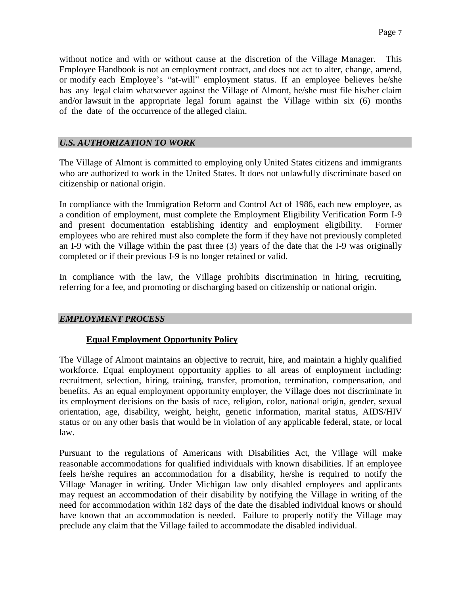without notice and with or without cause at the discretion of the Village Manager. This Employee Handbook is not an employment contract, and does not act to alter, change, amend, or modify each Employee's "at-will" employment status. If an employee believes he/she has any legal claim whatsoever against the Village of Almont, he/she must file his/her claim and/or lawsuit in the appropriate legal forum against the Village within six (6) months of the date of the occurrence of the alleged claim.

# *U.S. AUTHORIZATION TO WORK*

The Village of Almont is committed to employing only United States citizens and immigrants who are authorized to work in the United States. It does not unlawfully discriminate based on citizenship or national origin.

In compliance with the Immigration Reform and Control Act of 1986, each new employee, as a condition of employment, must complete the Employment Eligibility Verification Form I-9 and present documentation establishing identity and employment eligibility. Former employees who are rehired must also complete the form if they have not previously completed an I-9 with the Village within the past three (3) years of the date that the I-9 was originally completed or if their previous I-9 is no longer retained or valid.

In compliance with the law, the Village prohibits discrimination in hiring, recruiting, referring for a fee, and promoting or discharging based on citizenship or national origin.

# *EMPLOYMENT PROCESS*

# **Equal Employment Opportunity Policy**

The Village of Almont maintains an objective to recruit, hire, and maintain a highly qualified workforce. Equal employment opportunity applies to all areas of employment including: recruitment, selection, hiring, training, transfer, promotion, termination, compensation, and benefits. As an equal employment opportunity employer, the Village does not discriminate in its employment decisions on the basis of race, religion, color, national origin, gender, sexual orientation, age, disability, weight, height, genetic information, marital status, AIDS/HIV status or on any other basis that would be in violation of any applicable federal, state, or local law.

Pursuant to the regulations of Americans with Disabilities Act, the Village will make reasonable accommodations for qualified individuals with known disabilities. If an employee feels he/she requires an accommodation for a disability, he/she is required to notify the Village Manager in writing. Under Michigan law only disabled employees and applicants may request an accommodation of their disability by notifying the Village in writing of the need for accommodation within 182 days of the date the disabled individual knows or should have known that an accommodation is needed. Failure to properly notify the Village may preclude any claim that the Village failed to accommodate the disabled individual.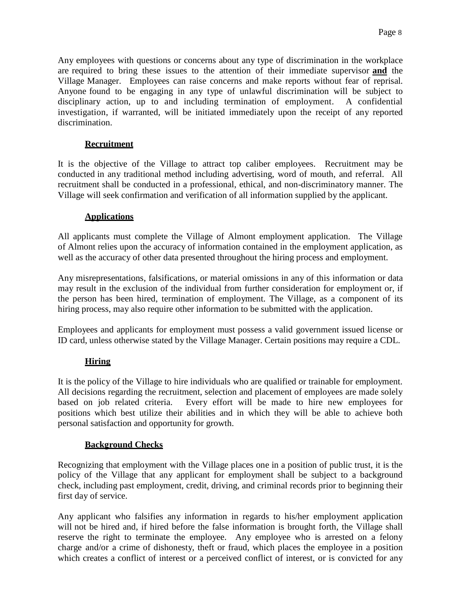Any employees with questions or concerns about any type of discrimination in the workplace are required to bring these issues to the attention of their immediate supervisor **and** the Village Manager. Employees can raise concerns and make reports without fear of reprisal. Anyone found to be engaging in any type of unlawful discrimination will be subject to disciplinary action, up to and including termination of employment. A confidential investigation, if warranted, will be initiated immediately upon the receipt of any reported discrimination.

# **Recruitment**

It is the objective of the Village to attract top caliber employees. Recruitment may be conducted in any traditional method including advertising, word of mouth, and referral. All recruitment shall be conducted in a professional, ethical, and non-discriminatory manner. The Village will seek confirmation and verification of all information supplied by the applicant.

# **Applications**

All applicants must complete the Village of Almont employment application. The Village of Almont relies upon the accuracy of information contained in the employment application, as well as the accuracy of other data presented throughout the hiring process and employment.

Any misrepresentations, falsifications, or material omissions in any of this information or data may result in the exclusion of the individual from further consideration for employment or, if the person has been hired, termination of employment. The Village, as a component of its hiring process, may also require other information to be submitted with the application.

Employees and applicants for employment must possess a valid government issued license or ID card, unless otherwise stated by the Village Manager. Certain positions may require a CDL.

# **Hiring**

It is the policy of the Village to hire individuals who are qualified or trainable for employment. All decisions regarding the recruitment, selection and placement of employees are made solely based on job related criteria. Every effort will be made to hire new employees for positions which best utilize their abilities and in which they will be able to achieve both personal satisfaction and opportunity for growth.

# **Background Checks**

Recognizing that employment with the Village places one in a position of public trust, it is the policy of the Village that any applicant for employment shall be subject to a background check, including past employment, credit, driving, and criminal records prior to beginning their first day of service.

Any applicant who falsifies any information in regards to his/her employment application will not be hired and, if hired before the false information is brought forth, the Village shall reserve the right to terminate the employee. Any employee who is arrested on a felony charge and/or a crime of dishonesty, theft or fraud, which places the employee in a position which creates a conflict of interest or a perceived conflict of interest, or is convicted for any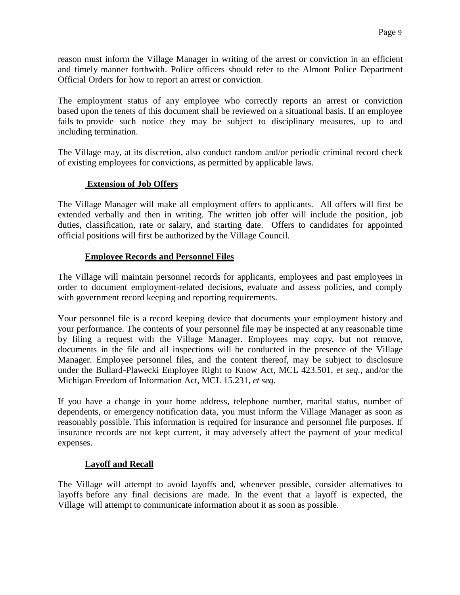reason must inform the Village Manager in writing of the arrest or conviction in an efficient and timely manner forthwith. Police officers should refer to the Almont Police Department Official Orders for how to report an arrest or conviction.

The employment status of any employee who correctly reports an arrest or conviction based upon the tenets of this document shall be reviewed on a situational basis. If an employee fails to provide such notice they may be subject to disciplinary measures, up to and including termination.

The Village may, at its discretion, also conduct random and/or periodic criminal record check of existing employees for convictions, as permitted by applicable laws.

# **Extension of Job Offers**

The Village Manager will make all employment offers to applicants. All offers will first be extended verbally and then in writing. The written job offer will include the position, job duties, classification, rate or salary, and starting date. Offers to candidates for appointed official positions will first be authorized by the Village Council.

# **Employee Records and Personnel Files**

The Village will maintain personnel records for applicants, employees and past employees in order to document employment-related decisions, evaluate and assess policies, and comply with government record keeping and reporting requirements.

Your personnel file is a record keeping device that documents your employment history and your performance. The contents of your personnel file may be inspected at any reasonable time by filing a request with the Village Manager. Employees may copy, but not remove, documents in the file and all inspections will be conducted in the presence of the Village Manager. Employee personnel files, and the content thereof, may be subject to disclosure under the Bullard-Plawecki Employee Right to Know Act, MCL 423.501, *et seq.*, and/or the Michigan Freedom of Information Act, MCL 15.231, *et seq.*

If you have a change in your home address, telephone number, marital status, number of dependents, or emergency notification data, you must inform the Village Manager as soon as reasonably possible. This information is required for insurance and personnel file purposes. If insurance records are not kept current, it may adversely affect the payment of your medical expenses.

# **Layoff and Recall**

The Village will attempt to avoid layoffs and, whenever possible, consider alternatives to layoffs before any final decisions are made. In the event that a layoff is expected, the Village will attempt to communicate information about it as soon as possible.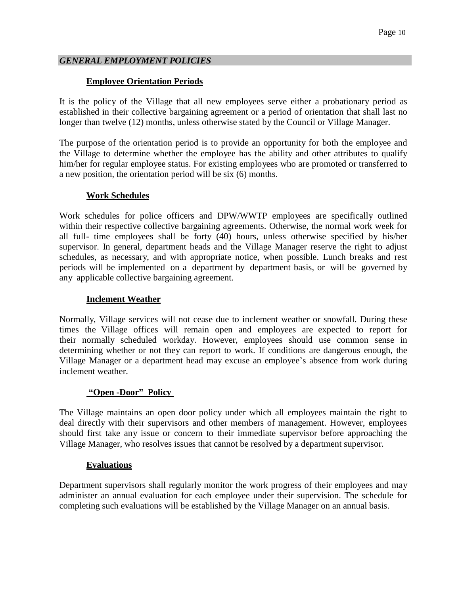# *GENERAL EMPLOYMENT POLICIES*

# **Employee Orientation Periods**

It is the policy of the Village that all new employees serve either a probationary period as established in their collective bargaining agreement or a period of orientation that shall last no longer than twelve (12) months, unless otherwise stated by the Council or Village Manager.

The purpose of the orientation period is to provide an opportunity for both the employee and the Village to determine whether the employee has the ability and other attributes to qualify him/her for regular employee status. For existing employees who are promoted or transferred to a new position, the orientation period will be six (6) months.

# **Work Schedules**

Work schedules for police officers and DPW/WWTP employees are specifically outlined within their respective collective bargaining agreements. Otherwise, the normal work week for all full- time employees shall be forty (40) hours, unless otherwise specified by his/her supervisor. In general, department heads and the Village Manager reserve the right to adjust schedules, as necessary, and with appropriate notice, when possible. Lunch breaks and rest periods will be implemented on a department by department basis, or will be governed by any applicable collective bargaining agreement.

# **Inclement Weather**

Normally, Village services will not cease due to inclement weather or snowfall. During these times the Village offices will remain open and employees are expected to report for their normally scheduled workday. However, employees should use common sense in determining whether or not they can report to work. If conditions are dangerous enough, the Village Manager or a department head may excuse an employee's absence from work during inclement weather.

# **"Open -Door" Policy**

The Village maintains an open door policy under which all employees maintain the right to deal directly with their supervisors and other members of management. However, employees should first take any issue or concern to their immediate supervisor before approaching the Village Manager, who resolves issues that cannot be resolved by a department supervisor.

# **Evaluations**

Department supervisors shall regularly monitor the work progress of their employees and may administer an annual evaluation for each employee under their supervision. The schedule for completing such evaluations will be established by the Village Manager on an annual basis.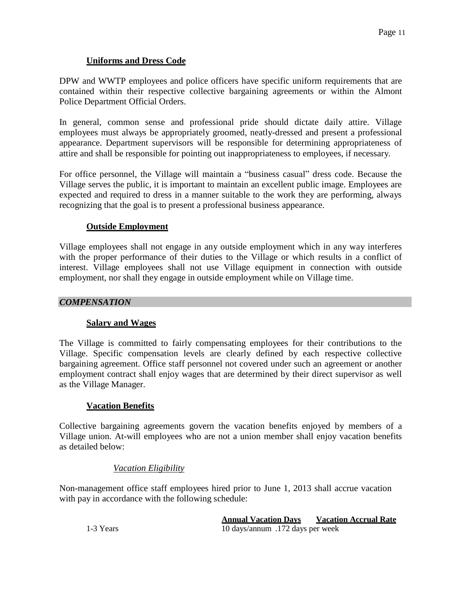# **Uniforms and Dress Code**

DPW and WWTP employees and police officers have specific uniform requirements that are contained within their respective collective bargaining agreements or within the Almont Police Department Official Orders.

In general, common sense and professional pride should dictate daily attire. Village employees must always be appropriately groomed, neatly-dressed and present a professional appearance. Department supervisors will be responsible for determining appropriateness of attire and shall be responsible for pointing out inappropriateness to employees, if necessary.

For office personnel, the Village will maintain a "business casual" dress code. Because the Village serves the public, it is important to maintain an excellent public image. Employees are expected and required to dress in a manner suitable to the work they are performing, always recognizing that the goal is to present a professional business appearance.

# **Outside Employment**

Village employees shall not engage in any outside employment which in any way interferes with the proper performance of their duties to the Village or which results in a conflict of interest. Village employees shall not use Village equipment in connection with outside employment, nor shall they engage in outside employment while on Village time.

# *COMPENSATION*

# **Salary and Wages**

The Village is committed to fairly compensating employees for their contributions to the Village. Specific compensation levels are clearly defined by each respective collective bargaining agreement. Office staff personnel not covered under such an agreement or another employment contract shall enjoy wages that are determined by their direct supervisor as well as the Village Manager.

# **Vacation Benefits**

Collective bargaining agreements govern the vacation benefits enjoyed by members of a Village union. At-will employees who are not a union member shall enjoy vacation benefits as detailed below:

# *Vacation Eligibility*

Non-management office staff employees hired prior to June 1, 2013 shall accrue vacation with pay in accordance with the following schedule:

| <b>Annual Vacation Days</b>      | <b>Vacation Accrual Rate</b> |  |
|----------------------------------|------------------------------|--|
| 10 days/annum .172 days per week |                              |  |

1-3 Years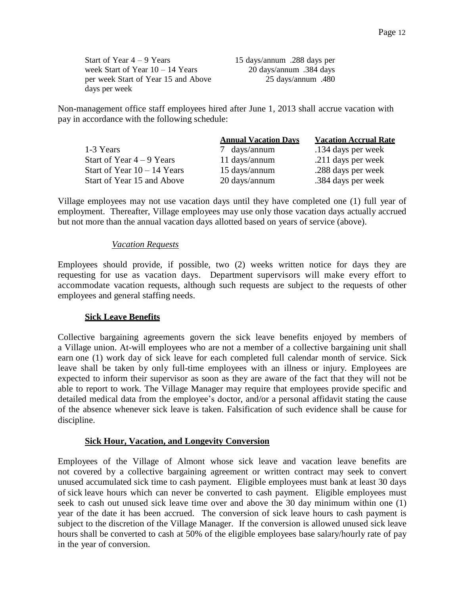Start of Year 4 – 9 Years 15 days/annum .288 days per week Start of Year 10 – 14 Years 20 days/annum .384 days<br>per week Start of Year 15 and Above 25 days/annum .480 per week Start of Year 15 and Above days per week

Non-management office staff employees hired after June 1, 2013 shall accrue vacation with pay in accordance with the following schedule:

|                               | <b>Annual Vacation Davs</b> | <b>Vacation Accrual Rate</b> |
|-------------------------------|-----------------------------|------------------------------|
| 1-3 Years                     | 7 days/annum                | .134 days per week           |
| Start of Year $4 - 9$ Years   | 11 days/annum               | .211 days per week           |
| Start of Year $10 - 14$ Years | 15 days/annum               | .288 days per week           |
| Start of Year 15 and Above    | 20 days/annum               | .384 days per week           |

Village employees may not use vacation days until they have completed one (1) full year of employment. Thereafter, Village employees may use only those vacation days actually accrued but not more than the annual vacation days allotted based on years of service (above).

#### *Vacation Requests*

Employees should provide, if possible, two (2) weeks written notice for days they are requesting for use as vacation days. Department supervisors will make every effort to accommodate vacation requests, although such requests are subject to the requests of other employees and general staffing needs.

#### **Sick Leave Benefits**

Collective bargaining agreements govern the sick leave benefits enjoyed by members of a Village union. At-will employees who are not a member of a collective bargaining unit shall earn one (1) work day of sick leave for each completed full calendar month of service. Sick leave shall be taken by only full-time employees with an illness or injury. Employees are expected to inform their supervisor as soon as they are aware of the fact that they will not be able to report to work. The Village Manager may require that employees provide specific and detailed medical data from the employee's doctor, and/or a personal affidavit stating the cause of the absence whenever sick leave is taken. Falsification of such evidence shall be cause for discipline.

#### **Sick Hour, Vacation, and Longevity Conversion**

Employees of the Village of Almont whose sick leave and vacation leave benefits are not covered by a collective bargaining agreement or written contract may seek to convert unused accumulated sick time to cash payment. Eligible employees must bank at least 30 days of sick leave hours which can never be converted to cash payment. Eligible employees must seek to cash out unused sick leave time over and above the 30 day minimum within one (1) year of the date it has been accrued. The conversion of sick leave hours to cash payment is subject to the discretion of the Village Manager. If the conversion is allowed unused sick leave hours shall be converted to cash at 50% of the eligible employees base salary/hourly rate of pay in the year of conversion.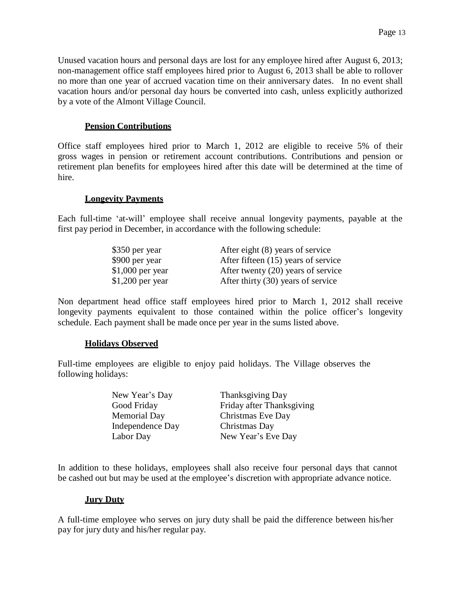Unused vacation hours and personal days are lost for any employee hired after August 6, 2013; non-management office staff employees hired prior to August 6, 2013 shall be able to rollover no more than one year of accrued vacation time on their anniversary dates. In no event shall vacation hours and/or personal day hours be converted into cash, unless explicitly authorized by a vote of the Almont Village Council.

# **Pension Contributions**

Office staff employees hired prior to March 1, 2012 are eligible to receive 5% of their gross wages in pension or retirement account contributions. Contributions and pension or retirement plan benefits for employees hired after this date will be determined at the time of hire.

# **Longevity Payments**

Each full-time 'at-will' employee shall receive annual longevity payments, payable at the first pay period in December, in accordance with the following schedule:

| \$350 per year    | After eight (8) years of service    |
|-------------------|-------------------------------------|
| \$900 per year    | After fifteen (15) years of service |
| $$1,000$ per year | After twenty (20) years of service  |
| $$1,200$ per year | After thirty (30) years of service  |

Non department head office staff employees hired prior to March 1, 2012 shall receive longevity payments equivalent to those contained within the police officer's longevity schedule. Each payment shall be made once per year in the sums listed above.

# **Holidays Observed**

Full-time employees are eligible to enjoy paid holidays. The Village observes the following holidays:

| New Year's Day      | Thanksgiving Day          |
|---------------------|---------------------------|
| Good Friday         | Friday after Thanksgiving |
| <b>Memorial Day</b> | Christmas Eve Day         |
| Independence Day    | Christmas Day             |
| Labor Day           | New Year's Eve Day        |

In addition to these holidays, employees shall also receive four personal days that cannot be cashed out but may be used at the employee's discretion with appropriate advance notice.

# **Jury Duty**

A full-time employee who serves on jury duty shall be paid the difference between his/her pay for jury duty and his/her regular pay.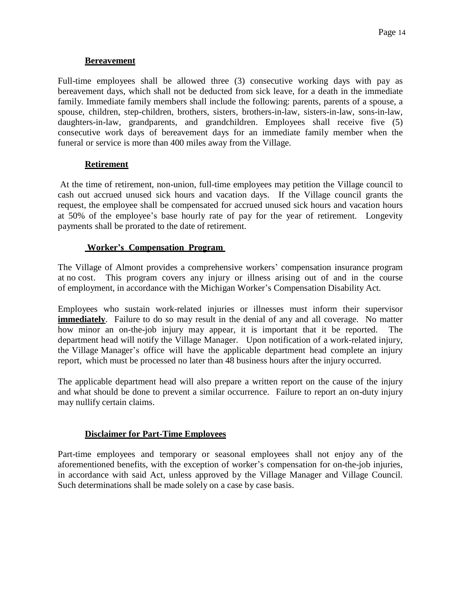#### **Bereavement**

Full-time employees shall be allowed three (3) consecutive working days with pay as bereavement days, which shall not be deducted from sick leave, for a death in the immediate family. Immediate family members shall include the following: parents, parents of a spouse, a spouse, children, step-children, brothers, sisters, brothers-in-law, sisters-in-law, sons-in-law, daughters-in-law, grandparents, and grandchildren. Employees shall receive five (5) consecutive work days of bereavement days for an immediate family member when the funeral or service is more than 400 miles away from the Village.

# **Retirement**

At the time of retirement, non-union, full-time employees may petition the Village council to cash out accrued unused sick hours and vacation days. If the Village council grants the request, the employee shall be compensated for accrued unused sick hours and vacation hours at 50% of the employee's base hourly rate of pay for the year of retirement. Longevity payments shall be prorated to the date of retirement.

# **Worker's Compensation Program**

The Village of Almont provides a comprehensive workers' compensation insurance program at no cost. This program covers any injury or illness arising out of and in the course of employment, in accordance with the Michigan Worker's Compensation Disability Act.

Employees who sustain work-related injuries or illnesses must inform their supervisor **immediately**. Failure to do so may result in the denial of any and all coverage. No matter how minor an on-the-job injury may appear, it is important that it be reported. The department head will notify the Village Manager. Upon notification of a work-related injury, the Village Manager's office will have the applicable department head complete an injury report, which must be processed no later than 48 business hours after the injury occurred.

The applicable department head will also prepare a written report on the cause of the injury and what should be done to prevent a similar occurrence. Failure to report an on-duty injury may nullify certain claims.

# **Disclaimer for Part-Time Employees**

Part-time employees and temporary or seasonal employees shall not enjoy any of the aforementioned benefits, with the exception of worker's compensation for on-the-job injuries, in accordance with said Act, unless approved by the Village Manager and Village Council. Such determinations shall be made solely on a case by case basis.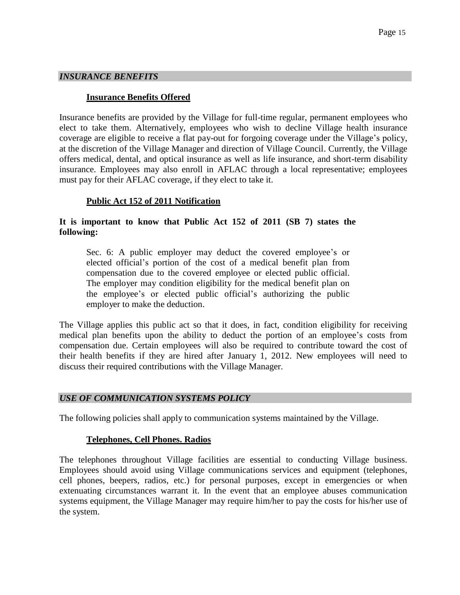#### *INSURANCE BENEFITS*

#### **Insurance Benefits Offered**

Insurance benefits are provided by the Village for full-time regular, permanent employees who elect to take them. Alternatively, employees who wish to decline Village health insurance coverage are eligible to receive a flat pay-out for forgoing coverage under the Village's policy, at the discretion of the Village Manager and direction of Village Council. Currently, the Village offers medical, dental, and optical insurance as well as life insurance, and short-term disability insurance. Employees may also enroll in AFLAC through a local representative; employees must pay for their AFLAC coverage, if they elect to take it.

# **Public Act 152 of 2011 Notification**

#### **It is important to know that Public Act 152 of 2011 (SB 7) states the following:**

Sec. 6: A public employer may deduct the covered employee's or elected official's portion of the cost of a medical benefit plan from compensation due to the covered employee or elected public official. The employer may condition eligibility for the medical benefit plan on the employee's or elected public official's authorizing the public employer to make the deduction.

The Village applies this public act so that it does, in fact, condition eligibility for receiving medical plan benefits upon the ability to deduct the portion of an employee's costs from compensation due. Certain employees will also be required to contribute toward the cost of their health benefits if they are hired after January 1, 2012. New employees will need to discuss their required contributions with the Village Manager.

# *USE OF COMMUNICATION SYSTEMS POLICY*

The following policies shall apply to communication systems maintained by the Village.

#### **Telephones, Cell Phones. Radios**

The telephones throughout Village facilities are essential to conducting Village business. Employees should avoid using Village communications services and equipment (telephones, cell phones, beepers, radios, etc.) for personal purposes, except in emergencies or when extenuating circumstances warrant it. In the event that an employee abuses communication systems equipment, the Village Manager may require him/her to pay the costs for his/her use of the system.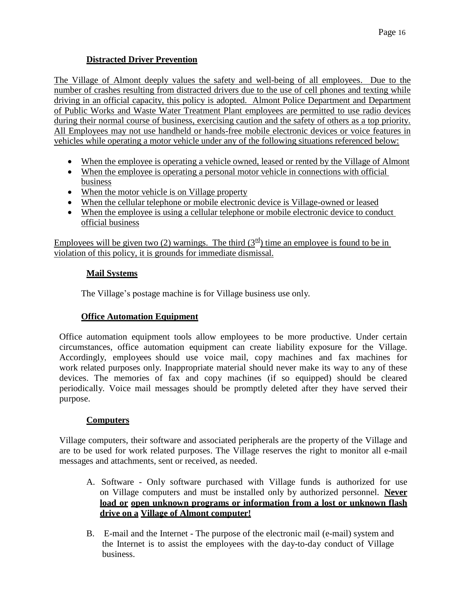# **Distracted Driver Prevention**

The Village of Almont deeply values the safety and well-being of all employees. Due to the number of crashes resulting from distracted drivers due to the use of cell phones and texting while driving in an official capacity, this policy is adopted. Almont Police Department and Department of Public Works and Waste Water Treatment Plant employees are permitted to use radio devices during their normal course of business, exercising caution and the safety of others as a top priority. All Employees may not use handheld or hands-free mobile electronic devices or voice features in vehicles while operating a motor vehicle under any of the following situations referenced below:

- When the employee is operating a vehicle owned, leased or rented by the Village of Almont
- When the employee is operating a personal motor vehicle in connections with official business
- When the motor vehicle is on Village property
- When the cellular telephone or mobile electronic device is Village-owned or leased
- When the employee is using a cellular telephone or mobile electronic device to conduct official business

Employees will be given two (2) warnings. The third  $(3<sup>rd</sup>)$  time an employee is found to be in violation of this policy, it is grounds for immediate dismissal.

# **Mail Systems**

The Village's postage machine is for Village business use only.

# **Office Automation Equipment**

Office automation equipment tools allow employees to be more productive. Under certain circumstances, office automation equipment can create liability exposure for the Village. Accordingly, employees should use voice mail, copy machines and fax machines for work related purposes only. Inappropriate material should never make its way to any of these devices. The memories of fax and copy machines (if so equipped) should be cleared periodically. Voice mail messages should be promptly deleted after they have served their purpose.

# **Computers**

Village computers, their software and associated peripherals are the property of the Village and are to be used for work related purposes. The Village reserves the right to monitor all e-mail messages and attachments, sent or received, as needed.

- A. Software Only software purchased with Village funds is authorized for use on Village computers and must be installed only by authorized personnel. **Never load or open unknown programs or information from a lost or unknown flash drive on a Village of Almont computer!**
- B. E-mail and the Internet The purpose of the electronic mail (e-mail) system and the Internet is to assist the employees with the day-to-day conduct of Village business.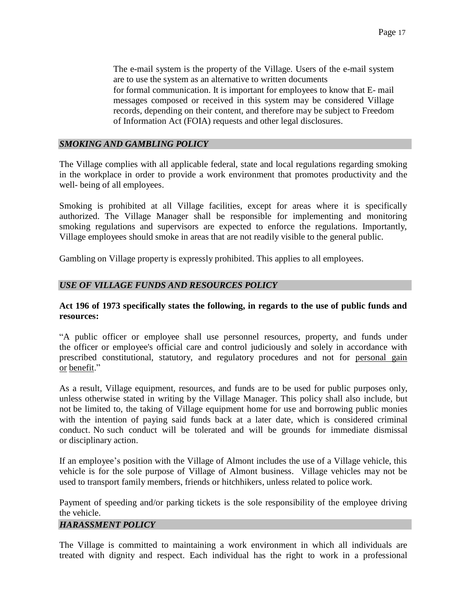The e-mail system is the property of the Village. Users of the e-mail system are to use the system as an alternative to written documents for formal communication. It is important for employees to know that E- mail messages composed or received in this system may be considered Village records, depending on their content, and therefore may be subject to Freedom of Information Act (FOIA) requests and other legal disclosures.

#### *SMOKING AND GAMBLING POLICY*

The Village complies with all applicable federal, state and local regulations regarding smoking in the workplace in order to provide a work environment that promotes productivity and the well- being of all employees.

Smoking is prohibited at all Village facilities, except for areas where it is specifically authorized. The Village Manager shall be responsible for implementing and monitoring smoking regulations and supervisors are expected to enforce the regulations. Importantly, Village employees should smoke in areas that are not readily visible to the general public.

Gambling on Village property is expressly prohibited. This applies to all employees.

#### *USE OF VILLAGE FUNDS AND RESOURCES POLICY*

# **Act 196 of 1973 specifically states the following, in regards to the use of public funds and resources:**

"A public officer or employee shall use personnel resources, property, and funds under the officer or employee's official care and control judiciously and solely in accordance with prescribed constitutional, statutory, and regulatory procedures and not for personal gain or benefit."

As a result, Village equipment, resources, and funds are to be used for public purposes only, unless otherwise stated in writing by the Village Manager. This policy shall also include, but not be limited to, the taking of Village equipment home for use and borrowing public monies with the intention of paying said funds back at a later date, which is considered criminal conduct. No such conduct will be tolerated and will be grounds for immediate dismissal or disciplinary action.

If an employee's position with the Village of Almont includes the use of a Village vehicle, this vehicle is for the sole purpose of Village of Almont business. Village vehicles may not be used to transport family members, friends or hitchhikers, unless related to police work.

Payment of speeding and/or parking tickets is the sole responsibility of the employee driving the vehicle.

#### *HARASSMENT POLICY*

The Village is committed to maintaining a work environment in which all individuals are treated with dignity and respect. Each individual has the right to work in a professional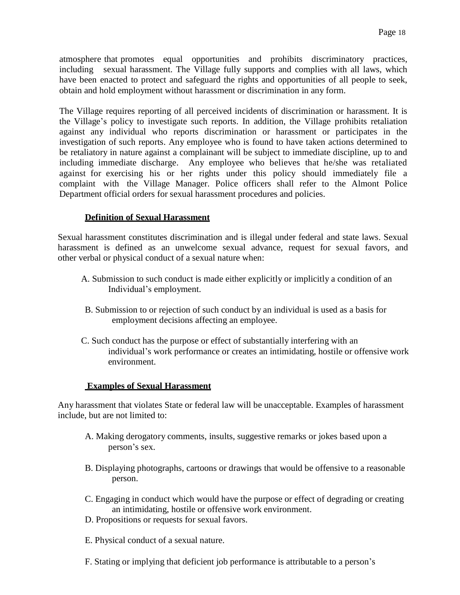atmosphere that promotes equal opportunities and prohibits discriminatory practices, including sexual harassment. The Village fully supports and complies with all laws, which have been enacted to protect and safeguard the rights and opportunities of all people to seek, obtain and hold employment without harassment or discrimination in any form.

The Village requires reporting of all perceived incidents of discrimination or harassment. It is the Village's policy to investigate such reports. In addition, the Village prohibits retaliation against any individual who reports discrimination or harassment or participates in the investigation of such reports. Any employee who is found to have taken actions determined to be retaliatory in nature against a complainant will be subject to immediate discipline, up to and including immediate discharge. Any employee who believes that he/she was retaliated against for exercising his or her rights under this policy should immediately file a complaint with the Village Manager. Police officers shall refer to the Almont Police Department official orders for sexual harassment procedures and policies.

# **Definition of Sexual Harassment**

Sexual harassment constitutes discrimination and is illegal under federal and state laws. Sexual harassment is defined as an unwelcome sexual advance, request for sexual favors, and other verbal or physical conduct of a sexual nature when:

- A. Submission to such conduct is made either explicitly or implicitly a condition of an Individual's employment.
- B. Submission to or rejection of such conduct by an individual is used as a basis for employment decisions affecting an employee.
- C. Such conduct has the purpose or effect of substantially interfering with an individual's work performance or creates an intimidating, hostile or offensive work environment.

# **Examples of Sexual Harassment**

Any harassment that violates State or federal law will be unacceptable. Examples of harassment include, but are not limited to:

- A. Making derogatory comments, insults, suggestive remarks or jokes based upon a person's sex.
- B. Displaying photographs, cartoons or drawings that would be offensive to a reasonable person.
- C. Engaging in conduct which would have the purpose or effect of degrading or creating an intimidating, hostile or offensive work environment.
- D. Propositions or requests for sexual favors.
- E. Physical conduct of a sexual nature.
- F. Stating or implying that deficient job performance is attributable to a person's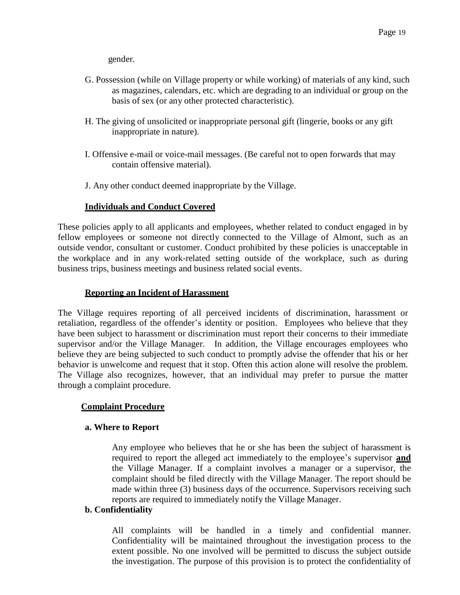gender.

- G. Possession (while on Village property or while working) of materials of any kind, such as magazines, calendars, etc. which are degrading to an individual or group on the basis of sex (or any other protected characteristic).
- H. The giving of unsolicited or inappropriate personal gift (lingerie, books or any gift inappropriate in nature).
- I. Offensive e-mail or voice-mail messages. (Be careful not to open forwards that may contain offensive material).
- J. Any other conduct deemed inappropriate by the Village.

# **Individuals and Conduct Covered**

These policies apply to all applicants and employees, whether related to conduct engaged in by fellow employees or someone not directly connected to the Village of Almont, such as an outside vendor, consultant or customer. Conduct prohibited by these policies is unacceptable in the workplace and in any work-related setting outside of the workplace, such as during business trips, business meetings and business related social events.

#### **Reporting an Incident of Harassment**

The Village requires reporting of all perceived incidents of discrimination, harassment or retaliation, regardless of the offender's identity or position. Employees who believe that they have been subject to harassment or discrimination must report their concerns to their immediate supervisor and/or the Village Manager. In addition, the Village encourages employees who believe they are being subjected to such conduct to promptly advise the offender that his or her behavior is unwelcome and request that it stop. Often this action alone will resolve the problem. The Village also recognizes, however, that an individual may prefer to pursue the matter through a complaint procedure.

# **Complaint Procedure**

# **a. Where to Report**

Any employee who believes that he or she has been the subject of harassment is required to report the alleged act immediately to the employee's supervisor **and** the Village Manager. If a complaint involves a manager or a supervisor, the complaint should be filed directly with the Village Manager. The report should be made within three (3) business days of the occurrence. Supervisors receiving such reports are required to immediately notify the Village Manager.

# **b. Confidentiality**

All complaints will be handled in a timely and confidential manner. Confidentiality will be maintained throughout the investigation process to the extent possible. No one involved will be permitted to discuss the subject outside the investigation. The purpose of this provision is to protect the confidentiality of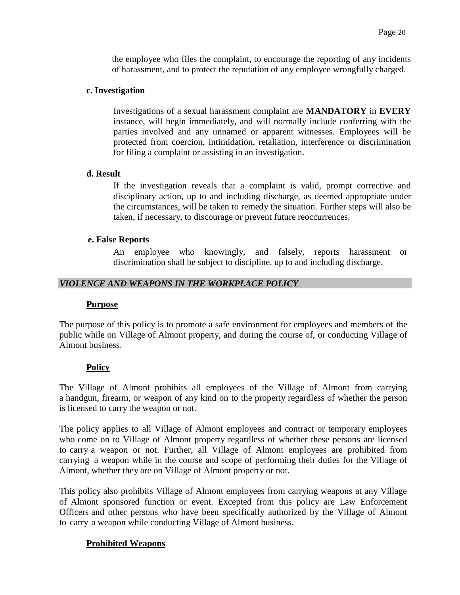the employee who files the complaint, to encourage the reporting of any incidents of harassment, and to protect the reputation of any employee wrongfully charged.

#### **c. Investigation**

Investigations of a sexual harassment complaint are **MANDATORY** in **EVERY**  instance, will begin immediately, and will normally include conferring with the parties involved and any unnamed or apparent witnesses. Employees will be protected from coercion, intimidation, retaliation, interference or discrimination for filing a complaint or assisting in an investigation.

#### **d. Result**

If the investigation reveals that a complaint is valid, prompt corrective and disciplinary action, up to and including discharge, as deemed appropriate under the circumstances, will be taken to remedy the situation. Further steps will also be taken, if necessary, to discourage or prevent future reoccurrences.

#### **e. False Reports**

An employee who knowingly, and falsely, reports harassment or discrimination shall be subject to discipline, up to and including discharge.

# *VIOLENCE AND WEAPONS IN THE WORKPLACE POLICY*

#### **Purpose**

The purpose of this policy is to promote a safe environment for employees and members of the public while on Village of Almont property, and during the course of, or conducting Village of Almont business.

# **Policy**

The Village of Almont prohibits all employees of the Village of Almont from carrying a handgun, firearm, or weapon of any kind on to the property regardless of whether the person is licensed to carry the weapon or not.

The policy applies to all Village of Almont employees and contract or temporary employees who come on to Village of Almont property regardless of whether these persons are licensed to carry a weapon or not. Further, all Village of Almont employees are prohibited from carrying a weapon while in the course and scope of performing their duties for the Village of Almont, whether they are on Village of Almont property or not.

This policy also prohibits Village of Almont employees from carrying weapons at any Village of Almont sponsored function or event. Excepted from this policy are Law Enforcement Officers and other persons who have been specifically authorized by the Village of Almont to carry a weapon while conducting Village of Almont business.

# **Prohibited Weapons**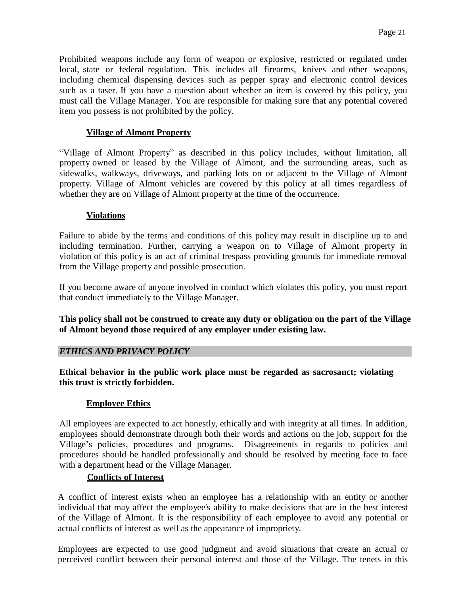Prohibited weapons include any form of weapon or explosive, restricted or regulated under local, state or federal regulation. This includes all firearms, knives and other weapons, including chemical dispensing devices such as pepper spray and electronic control devices such as a taser. If you have a question about whether an item is covered by this policy, you must call the Village Manager. You are responsible for making sure that any potential covered item you possess is not prohibited by the policy.

# **Village of Almont Property**

"Village of Almont Property" as described in this policy includes, without limitation, all property owned or leased by the Village of Almont, and the surrounding areas, such as sidewalks, walkways, driveways, and parking lots on or adjacent to the Village of Almont property. Village of Almont vehicles are covered by this policy at all times regardless of whether they are on Village of Almont property at the time of the occurrence.

# **Violations**

Failure to abide by the terms and conditions of this policy may result in discipline up to and including termination. Further, carrying a weapon on to Village of Almont property in violation of this policy is an act of criminal trespass providing grounds for immediate removal from the Village property and possible prosecution.

If you become aware of anyone involved in conduct which violates this policy, you must report that conduct immediately to the Village Manager.

**This policy shall not be construed to create any duty or obligation on the part of the Village of Almont beyond those required of any employer under existing law.**

# *ETHICS AND PRIVACY POLICY*

**Ethical behavior in the public work place must be regarded as sacrosanct; violating this trust is strictly forbidden.**

# **Employee Ethics**

All employees are expected to act honestly, ethically and with integrity at all times. In addition, employees should demonstrate through both their words and actions on the job, support for the Village's policies, procedures and programs. Disagreements in regards to policies and procedures should be handled professionally and should be resolved by meeting face to face with a department head or the Village Manager.

# **Conflicts of Interest**

A conflict of interest exists when an employee has a relationship with an entity or another individual that may affect the employee's ability to make decisions that are in the best interest of the Village of Almont. It is the responsibility of each employee to avoid any potential or actual conflicts of interest as well as the appearance of impropriety.

Employees are expected to use good judgment and avoid situations that create an actual or perceived conflict between their personal interest and those of the Village. The tenets in this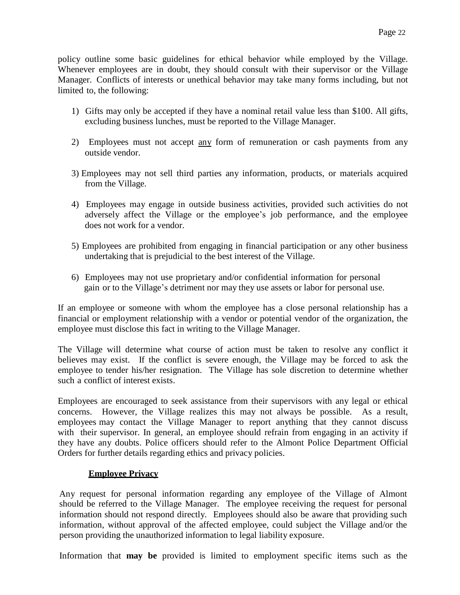policy outline some basic guidelines for ethical behavior while employed by the Village. Whenever employees are in doubt, they should consult with their supervisor or the Village Manager. Conflicts of interests or unethical behavior may take many forms including, but not limited to, the following:

- 1) Gifts may only be accepted if they have a nominal retail value less than \$100. All gifts, excluding business lunches, must be reported to the Village Manager.
- 2) Employees must not accept any form of remuneration or cash payments from any outside vendor.
- 3) Employees may not sell third parties any information, products, or materials acquired from the Village.
- 4) Employees may engage in outside business activities, provided such activities do not adversely affect the Village or the employee's job performance, and the employee does not work for a vendor.
- 5) Employees are prohibited from engaging in financial participation or any other business undertaking that is prejudicial to the best interest of the Village.
- 6) Employees may not use proprietary and/or confidential information for personal gain or to the Village's detriment nor may they use assets or labor for personal use.

If an employee or someone with whom the employee has a close personal relationship has a financial or employment relationship with a vendor or potential vendor of the organization, the employee must disclose this fact in writing to the Village Manager.

The Village will determine what course of action must be taken to resolve any conflict it believes may exist. If the conflict is severe enough, the Village may be forced to ask the employee to tender his/her resignation. The Village has sole discretion to determine whether such a conflict of interest exists.

Employees are encouraged to seek assistance from their supervisors with any legal or ethical concerns. However, the Village realizes this may not always be possible. As a result, employees may contact the Village Manager to report anything that they cannot discuss with their supervisor. In general, an employee should refrain from engaging in an activity if they have any doubts. Police officers should refer to the Almont Police Department Official Orders for further details regarding ethics and privacy policies.

# **Employee Privacy**

Any request for personal information regarding any employee of the Village of Almont should be referred to the Village Manager. The employee receiving the request for personal information should not respond directly. Employees should also be aware that providing such information, without approval of the affected employee, could subject the Village and/or the person providing the unauthorized information to legal liability exposure.

Information that **may be** provided is limited to employment specific items such as the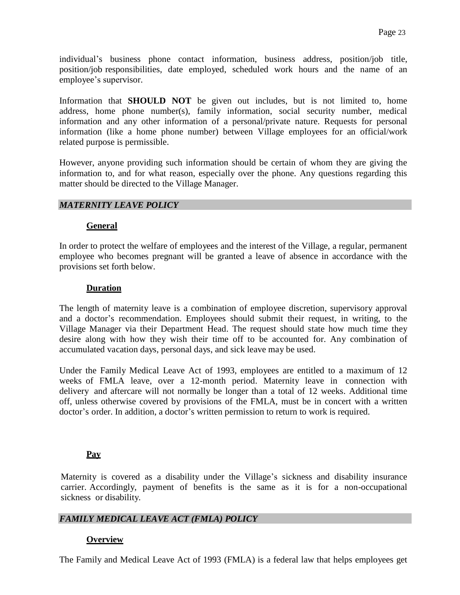individual's business phone contact information, business address, position/job title, position/job responsibilities, date employed, scheduled work hours and the name of an employee's supervisor.

Information that **SHOULD NOT** be given out includes, but is not limited to, home address, home phone number(s), family information, social security number, medical information and any other information of a personal/private nature. Requests for personal information (like a home phone number) between Village employees for an official/work related purpose is permissible.

However, anyone providing such information should be certain of whom they are giving the information to, and for what reason, especially over the phone. Any questions regarding this matter should be directed to the Village Manager.

# *MATERNITY LEAVE POLICY*

#### **General**

In order to protect the welfare of employees and the interest of the Village, a regular, permanent employee who becomes pregnant will be granted a leave of absence in accordance with the provisions set forth below.

#### **Duration**

The length of maternity leave is a combination of employee discretion, supervisory approval and a doctor's recommendation. Employees should submit their request, in writing, to the Village Manager via their Department Head. The request should state how much time they desire along with how they wish their time off to be accounted for. Any combination of accumulated vacation days, personal days, and sick leave may be used.

Under the Family Medical Leave Act of 1993, employees are entitled to a maximum of 12 weeks of FMLA leave, over a 12-month period. Maternity leave in connection with delivery and aftercare will not normally be longer than a total of 12 weeks. Additional time off, unless otherwise covered by provisions of the FMLA, must be in concert with a written doctor's order. In addition, a doctor's written permission to return to work is required.

# **Pay**

Maternity is covered as a disability under the Village's sickness and disability insurance carrier. Accordingly, payment of benefits is the same as it is for a non-occupational sickness or disability.

# *FAMILY MEDICAL LEAVE ACT (FMLA) POLICY*

# **Overview**

The Family and Medical Leave Act of 1993 (FMLA) is a federal law that helps employees get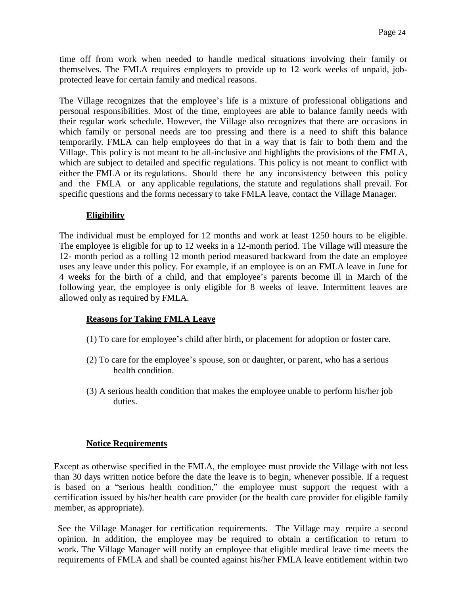time off from work when needed to handle medical situations involving their family or themselves. The FMLA requires employers to provide up to 12 work weeks of unpaid, jobprotected leave for certain family and medical reasons.

The Village recognizes that the employee's life is a mixture of professional obligations and personal responsibilities. Most of the time, employees are able to balance family needs with their regular work schedule. However, the Village also recognizes that there are occasions in which family or personal needs are too pressing and there is a need to shift this balance temporarily. FMLA can help employees do that in a way that is fair to both them and the Village. This policy is not meant to be all-inclusive and highlights the provisions of the FMLA, which are subject to detailed and specific regulations. This policy is not meant to conflict with either the FMLA or its regulations. Should there be any inconsistency between this policy and the FMLA or any applicable regulations, the statute and regulations shall prevail. For specific questions and the forms necessary to take FMLA leave, contact the Village Manager.

#### **Eligibility**

The individual must be employed for 12 months and work at least 1250 hours to be eligible. The employee is eligible for up to 12 weeks in a 12-month period. The Village will measure the 12- month period as a rolling 12 month period measured backward from the date an employee uses any leave under this policy. For example, if an employee is on an FMLA leave in June for 4 weeks for the birth of a child, and that employee's parents become ill in March of the following year, the employee is only eligible for 8 weeks of leave. Intermittent leaves are allowed only as required by FMLA.

# **Reasons for Taking FMLA Leave**

- (1) To care for employee's child after birth, or placement for adoption or foster care.
- (2) To care for the employee's spouse, son or daughter, or parent, who has a serious health condition.
- (3) A serious health condition that makes the employee unable to perform his/her job duties.

# **Notice Requirements**

Except as otherwise specified in the FMLA, the employee must provide the Village with not less than 30 days written notice before the date the leave is to begin, whenever possible. If a request is based on a "serious health condition," the employee must support the request with a certification issued by his/her health care provider (or the health care provider for eligible family member, as appropriate).

See the Village Manager for certification requirements. The Village may require a second opinion. In addition, the employee may be required to obtain a certification to return to work. The Village Manager will notify an employee that eligible medical leave time meets the requirements of FMLA and shall be counted against his/her FMLA leave entitlement within two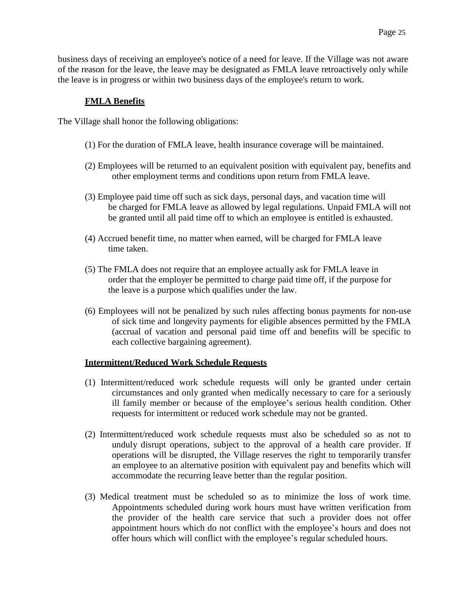business days of receiving an employee's notice of a need for leave. If the Village was not aware of the reason for the leave, the leave may be designated as FMLA leave retroactively only while the leave is in progress or within two business days of the employee's return to work.

# **FMLA Benefits**

The Village shall honor the following obligations:

- (1) For the duration of FMLA leave, health insurance coverage will be maintained.
- (2) Employees will be returned to an equivalent position with equivalent pay, benefits and other employment terms and conditions upon return from FMLA leave.
- (3) Employee paid time off such as sick days, personal days, and vacation time will be charged for FMLA leave as allowed by legal regulations. Unpaid FMLA will not be granted until all paid time off to which an employee is entitled is exhausted.
- (4) Accrued benefit time, no matter when earned, will be charged for FMLA leave time taken.
- (5) The FMLA does not require that an employee actually ask for FMLA leave in order that the employer be permitted to charge paid time off, if the purpose for the leave is a purpose which qualifies under the law.
- (6) Employees will not be penalized by such rules affecting bonus payments for non-use of sick time and longevity payments for eligible absences permitted by the FMLA (accrual of vacation and personal paid time off and benefits will be specific to each collective bargaining agreement).

# **Intermittent/Reduced Work Schedule Requests**

- (1) Intermittent/reduced work schedule requests will only be granted under certain circumstances and only granted when medically necessary to care for a seriously ill family member or because of the employee's serious health condition. Other requests for intermittent or reduced work schedule may not be granted.
- (2) Intermittent/reduced work schedule requests must also be scheduled so as not to unduly disrupt operations, subject to the approval of a health care provider. If operations will be disrupted, the Village reserves the right to temporarily transfer an employee to an alternative position with equivalent pay and benefits which will accommodate the recurring leave better than the regular position.
- (3) Medical treatment must be scheduled so as to minimize the loss of work time. Appointments scheduled during work hours must have written verification from the provider of the health care service that such a provider does not offer appointment hours which do not conflict with the employee's hours and does not offer hours which will conflict with the employee's regular scheduled hours.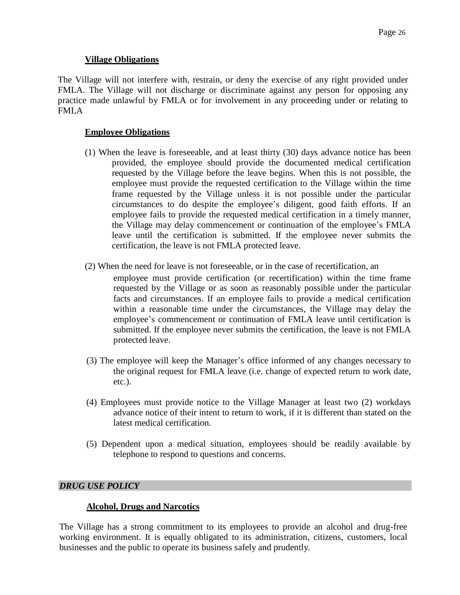#### **Village Obligations**

The Village will not interfere with, restrain, or deny the exercise of any right provided under FMLA. The Village will not discharge or discriminate against any person for opposing any practice made unlawful by FMLA or for involvement in any proceeding under or relating to FMLA

# **Employee Obligations**

- (1) When the leave is foreseeable, and at least thirty (30) days advance notice has been provided, the employee should provide the documented medical certification requested by the Village before the leave begins. When this is not possible, the employee must provide the requested certification to the Village within the time frame requested by the Village unless it is not possible under the particular circumstances to do despite the employee's diligent, good faith efforts. If an employee fails to provide the requested medical certification in a timely manner, the Village may delay commencement or continuation of the employee's FMLA leave until the certification is submitted. If the employee never submits the certification, the leave is not FMLA protected leave.
- (2) When the need for leave is not foreseeable, or in the case of recertification, an
	- employee must provide certification (or recertification) within the time frame requested by the Village or as soon as reasonably possible under the particular facts and circumstances. If an employee fails to provide a medical certification within a reasonable time under the circumstances, the Village may delay the employee's commencement or continuation of FMLA leave until certification is submitted. If the employee never submits the certification, the leave is not FMLA protected leave.
- (3) The employee will keep the Manager's office informed of any changes necessary to the original request for FMLA leave (i.e. change of expected return to work date, etc.).
- (4) Employees must provide notice to the Village Manager at least two (2) workdays advance notice of their intent to return to work, if it is different than stated on the latest medical certification.
- (5) Dependent upon a medical situation, employees should be readily available by telephone to respond to questions and concerns.

# *DRUG USE POLICY*

# **Alcohol, Drugs and Narcotics**

The Village has a strong commitment to its employees to provide an alcohol and drug-free working environment. It is equally obligated to its administration, citizens, customers, local businesses and the public to operate its business safely and prudently.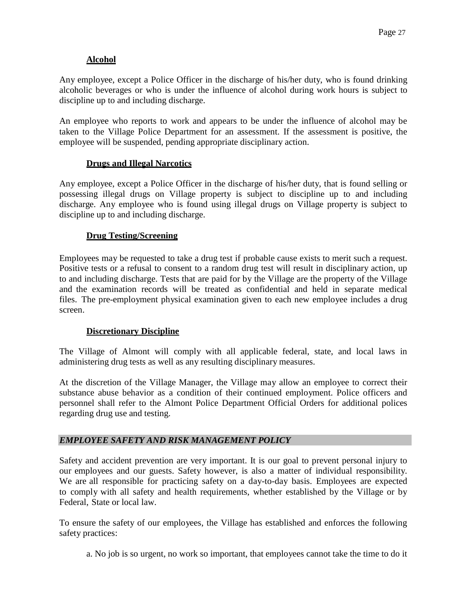# **Alcohol**

Any employee, except a Police Officer in the discharge of his/her duty, who is found drinking alcoholic beverages or who is under the influence of alcohol during work hours is subject to discipline up to and including discharge.

An employee who reports to work and appears to be under the influence of alcohol may be taken to the Village Police Department for an assessment. If the assessment is positive, the employee will be suspended, pending appropriate disciplinary action.

# **Drugs and Illegal Narcotics**

Any employee, except a Police Officer in the discharge of his/her duty, that is found selling or possessing illegal drugs on Village property is subject to discipline up to and including discharge. Any employee who is found using illegal drugs on Village property is subject to discipline up to and including discharge.

# **Drug Testing/Screening**

Employees may be requested to take a drug test if probable cause exists to merit such a request. Positive tests or a refusal to consent to a random drug test will result in disciplinary action, up to and including discharge. Tests that are paid for by the Village are the property of the Village and the examination records will be treated as confidential and held in separate medical files. The pre-employment physical examination given to each new employee includes a drug screen.

# **Discretionary Discipline**

The Village of Almont will comply with all applicable federal, state, and local laws in administering drug tests as well as any resulting disciplinary measures.

At the discretion of the Village Manager, the Village may allow an employee to correct their substance abuse behavior as a condition of their continued employment. Police officers and personnel shall refer to the Almont Police Department Official Orders for additional polices regarding drug use and testing.

# *EMPLOYEE SAFETY AND RISK MANAGEMENT POLICY*

Safety and accident prevention are very important. It is our goal to prevent personal injury to our employees and our guests. Safety however, is also a matter of individual responsibility. We are all responsible for practicing safety on a day-to-day basis. Employees are expected to comply with all safety and health requirements, whether established by the Village or by Federal, State or local law.

To ensure the safety of our employees, the Village has established and enforces the following safety practices:

a. No job is so urgent, no work so important, that employees cannot take the time to do it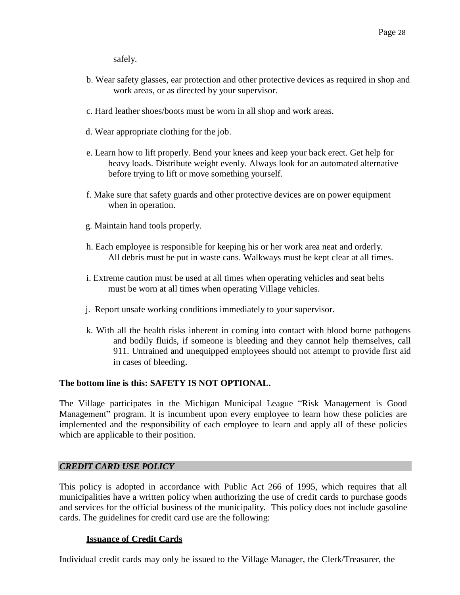safely.

- b. Wear safety glasses, ear protection and other protective devices as required in shop and work areas, or as directed by your supervisor.
- c. Hard leather shoes/boots must be worn in all shop and work areas.
- d. Wear appropriate clothing for the job.
- e. Learn how to lift properly. Bend your knees and keep your back erect. Get help for heavy loads. Distribute weight evenly. Always look for an automated alternative before trying to lift or move something yourself.
- f. Make sure that safety guards and other protective devices are on power equipment when in operation.
- g. Maintain hand tools properly.
- h. Each employee is responsible for keeping his or her work area neat and orderly. All debris must be put in waste cans. Walkways must be kept clear at all times.
- i. Extreme caution must be used at all times when operating vehicles and seat belts must be worn at all times when operating Village vehicles.
- j. Report unsafe working conditions immediately to your supervisor.
- k. With all the health risks inherent in coming into contact with blood borne pathogens and bodily fluids, if someone is bleeding and they cannot help themselves, call 911. Untrained and unequipped employees should not attempt to provide first aid in cases of bleeding.

# **The bottom line is this: SAFETY IS NOT OPTIONAL.**

The Village participates in the Michigan Municipal League "Risk Management is Good Management" program. It is incumbent upon every employee to learn how these policies are implemented and the responsibility of each employee to learn and apply all of these policies which are applicable to their position.

# *CREDIT CARD USE POLICY*

This policy is adopted in accordance with Public Act 266 of 1995, which requires that all municipalities have a written policy when authorizing the use of credit cards to purchase goods and services for the official business of the municipality. This policy does not include gasoline cards. The guidelines for credit card use are the following:

#### **Issuance of Credit Cards**

Individual credit cards may only be issued to the Village Manager, the Clerk/Treasurer, the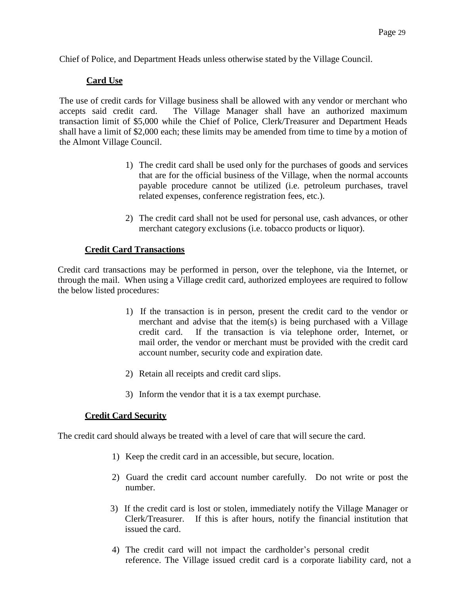Chief of Police, and Department Heads unless otherwise stated by the Village Council.

# **Card Use**

The use of credit cards for Village business shall be allowed with any vendor or merchant who accepts said credit card. The Village Manager shall have an authorized maximum transaction limit of \$5,000 while the Chief of Police, Clerk/Treasurer and Department Heads shall have a limit of \$2,000 each; these limits may be amended from time to time by a motion of the Almont Village Council.

- 1) The credit card shall be used only for the purchases of goods and services that are for the official business of the Village, when the normal accounts payable procedure cannot be utilized (i.e. petroleum purchases, travel related expenses, conference registration fees, etc.).
- 2) The credit card shall not be used for personal use, cash advances, or other merchant category exclusions (i.e. tobacco products or liquor).

# **Credit Card Transactions**

Credit card transactions may be performed in person, over the telephone, via the Internet, or through the mail. When using a Village credit card, authorized employees are required to follow the below listed procedures:

- 1) If the transaction is in person, present the credit card to the vendor or merchant and advise that the item(s) is being purchased with a Village credit card. If the transaction is via telephone order, Internet, or mail order, the vendor or merchant must be provided with the credit card account number, security code and expiration date.
- 2) Retain all receipts and credit card slips.
- 3) Inform the vendor that it is a tax exempt purchase.

# **Credit Card Security**

The credit card should always be treated with a level of care that will secure the card.

- 1) Keep the credit card in an accessible, but secure, location.
- 2) Guard the credit card account number carefully. Do not write or post the number.
- 3) If the credit card is lost or stolen, immediately notify the Village Manager or Clerk/Treasurer. If this is after hours, notify the financial institution that issued the card.
- 4) The credit card will not impact the cardholder's personal credit reference. The Village issued credit card is a corporate liability card, not a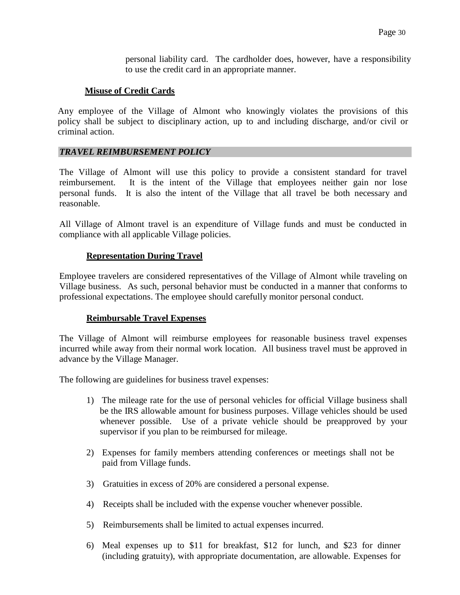personal liability card. The cardholder does, however, have a responsibility to use the credit card in an appropriate manner.

# **Misuse of Credit Cards**

Any employee of the Village of Almont who knowingly violates the provisions of this policy shall be subject to disciplinary action, up to and including discharge, and/or civil or criminal action.

# *TRAVEL REIMBURSEMENT POLICY*

The Village of Almont will use this policy to provide a consistent standard for travel reimbursement. It is the intent of the Village that employees neither gain nor lose personal funds. It is also the intent of the Village that all travel be both necessary and reasonable.

All Village of Almont travel is an expenditure of Village funds and must be conducted in compliance with all applicable Village policies.

# **Representation During Travel**

Employee travelers are considered representatives of the Village of Almont while traveling on Village business. As such, personal behavior must be conducted in a manner that conforms to professional expectations. The employee should carefully monitor personal conduct.

# **Reimbursable Travel Expenses**

The Village of Almont will reimburse employees for reasonable business travel expenses incurred while away from their normal work location. All business travel must be approved in advance by the Village Manager.

The following are guidelines for business travel expenses:

- 1) The mileage rate for the use of personal vehicles for official Village business shall be the IRS allowable amount for business purposes. Village vehicles should be used whenever possible. Use of a private vehicle should be preapproved by your supervisor if you plan to be reimbursed for mileage.
- 2) Expenses for family members attending conferences or meetings shall not be paid from Village funds.
- 3) Gratuities in excess of 20% are considered a personal expense.
- 4) Receipts shall be included with the expense voucher whenever possible.
- 5) Reimbursements shall be limited to actual expenses incurred.
- 6) Meal expenses up to \$11 for breakfast, \$12 for lunch, and \$23 for dinner (including gratuity), with appropriate documentation, are allowable. Expenses for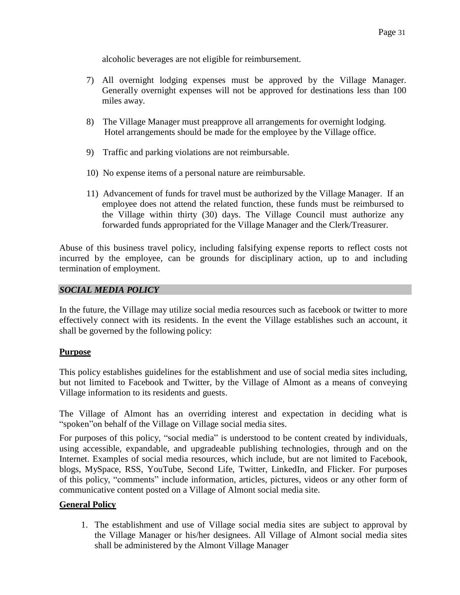alcoholic beverages are not eligible for reimbursement.

- 7) All overnight lodging expenses must be approved by the Village Manager. Generally overnight expenses will not be approved for destinations less than 100 miles away.
- 8) The Village Manager must preapprove all arrangements for overnight lodging. Hotel arrangements should be made for the employee by the Village office.
- 9) Traffic and parking violations are not reimbursable.
- 10) No expense items of a personal nature are reimbursable.
- 11) Advancement of funds for travel must be authorized by the Village Manager. If an employee does not attend the related function, these funds must be reimbursed to the Village within thirty (30) days. The Village Council must authorize any forwarded funds appropriated for the Village Manager and the Clerk/Treasurer.

Abuse of this business travel policy, including falsifying expense reports to reflect costs not incurred by the employee, can be grounds for disciplinary action, up to and including termination of employment.

# *SOCIAL MEDIA POLICY*

In the future, the Village may utilize social media resources such as facebook or twitter to more effectively connect with its residents. In the event the Village establishes such an account, it shall be governed by the following policy:

# **Purpose**

This policy establishes guidelines for the establishment and use of social media sites including, but not limited to Facebook and Twitter, by the Village of Almont as a means of conveying Village information to its residents and guests.

The Village of Almont has an overriding interest and expectation in deciding what is "spoken"on behalf of the Village on Village social media sites.

For purposes of this policy, "social media" is understood to be content created by individuals, using accessible, expandable, and upgradeable publishing technologies, through and on the Internet. Examples of social media resources, which include, but are not limited to Facebook, blogs, MySpace, RSS, YouTube, Second Life, Twitter, LinkedIn, and Flicker. For purposes of this policy, "comments" include information, articles, pictures, videos or any other form of communicative content posted on a Village of Almont social media site.

# **General Policy**

1. The establishment and use of Village social media sites are subject to approval by the Village Manager or his/her designees. All Village of Almont social media sites shall be administered by the Almont Village Manager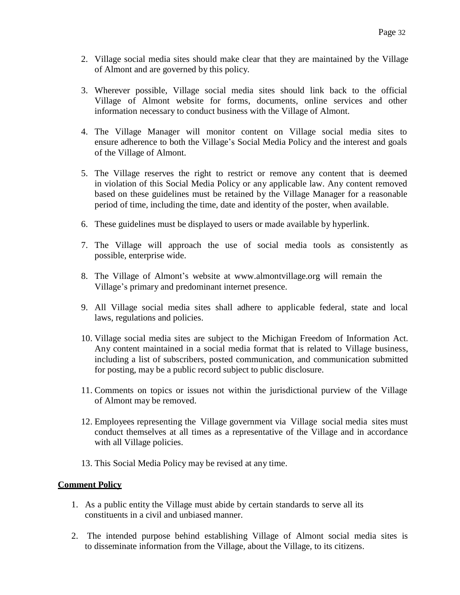- 2. Village social media sites should make clear that they are maintained by the Village of Almont and are governed by this policy.
- 3. Wherever possible, Village social media sites should link back to the official Village of Almont website for forms, documents, online services and other information necessary to conduct business with the Village of Almont.
- 4. The Village Manager will monitor content on Village social media sites to ensure adherence to both the Village's Social Media Policy and the interest and goals of the Village of Almont.
- 5. The Village reserves the right to restrict or remove any content that is deemed in violation of this Social Media Policy or any applicable law. Any content removed based on these guidelines must be retained by the Village Manager for a reasonable period of time, including the time, date and identity of the poster, when available.
- 6. These guidelines must be displayed to users or made available by hyperlink.
- 7. The Village will approach the use of social media tools as consistently as possible, enterprise wide.
- 8. The Village of Almont's website at [www.almontvillage.org](http://www.almontvillage.org/) will remain the Village's primary and predominant internet presence.
- 9. All Village social media sites shall adhere to applicable federal, state and local laws, regulations and policies.
- 10. Village social media sites are subject to the Michigan Freedom of Information Act. Any content maintained in a social media format that is related to Village business, including a list of subscribers, posted communication, and communication submitted for posting, may be a public record subject to public disclosure.
- 11. Comments on topics or issues not within the jurisdictional purview of the Village of Almont may be removed.
- 12. Employees representing the Village government via Village social media sites must conduct themselves at all times as a representative of the Village and in accordance with all Village policies.
- 13. This Social Media Policy may be revised at any time.

# **Comment Policy**

- 1. As a public entity the Village must abide by certain standards to serve all its constituents in a civil and unbiased manner.
- 2. The intended purpose behind establishing Village of Almont social media sites is to disseminate information from the Village, about the Village, to its citizens.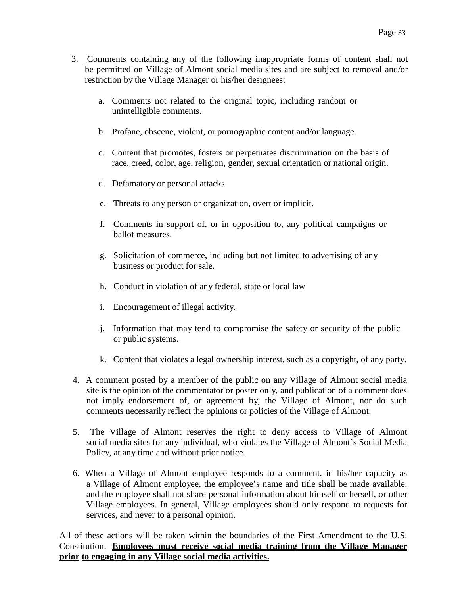- 3. Comments containing any of the following inappropriate forms of content shall not be permitted on Village of Almont social media sites and are subject to removal and/or restriction by the Village Manager or his/her designees:
	- a. Comments not related to the original topic, including random or unintelligible comments.
	- b. Profane, obscene, violent, or pornographic content and/or language.
	- c. Content that promotes, fosters or perpetuates discrimination on the basis of race, creed, color, age, religion, gender, sexual orientation or national origin.
	- d. Defamatory or personal attacks.
	- e. Threats to any person or organization, overt or implicit.
	- f. Comments in support of, or in opposition to, any political campaigns or ballot measures.
	- g. Solicitation of commerce, including but not limited to advertising of any business or product for sale.
	- h. Conduct in violation of any federal, state or local law
	- i. Encouragement of illegal activity.
	- j. Information that may tend to compromise the safety or security of the public or public systems.
	- k. Content that violates a legal ownership interest, such as a copyright, of any party.
- 4. A comment posted by a member of the public on any Village of Almont social media site is the opinion of the commentator or poster only, and publication of a comment does not imply endorsement of, or agreement by, the Village of Almont, nor do such comments necessarily reflect the opinions or policies of the Village of Almont.
- 5. The Village of Almont reserves the right to deny access to Village of Almont social media sites for any individual, who violates the Village of Almont's Social Media Policy, at any time and without prior notice.
- 6. When a Village of Almont employee responds to a comment, in his/her capacity as a Village of Almont employee, the employee's name and title shall be made available, and the employee shall not share personal information about himself or herself, or other Village employees. In general, Village employees should only respond to requests for services, and never to a personal opinion.

All of these actions will be taken within the boundaries of the First Amendment to the U.S. Constitution. **Employees must receive social media training from the Village Manager prior to engaging in any Village social media activities.**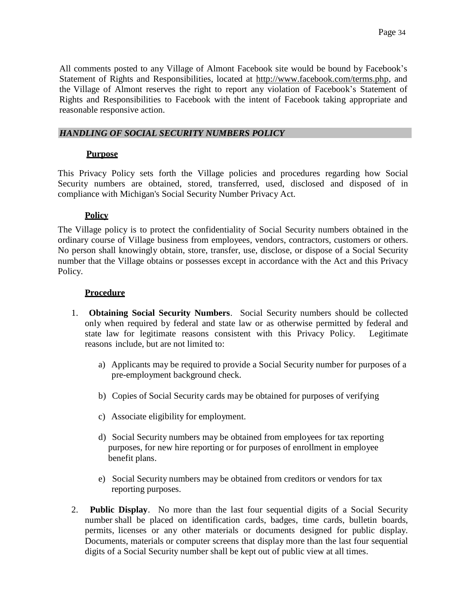All comments posted to any Village of Almont Facebook site would be bound by Facebook's Statement of Rights and Responsibilities, located at [http://www.facebook.com/terms.php,](../AppData/Local/Microsoft/Windows/Temporary%20Internet%20Files/Content.Outlook/AppData/Local/Microsoft/Windows/Temporary%20Internet%20Files/Sally/AppData/Local/Microsoft/Windows/Temporary%20Internet%20Files/Content.Outlook/Local%20Settings/Temporary%20Internet%20Files/Content.IE5/WYVDYG61/_blank) and the Village of Almont reserves the right to report any violation of Facebook's Statement of Rights and Responsibilities to Facebook with the intent of Facebook taking appropriate and reasonable responsive action.

#### *HANDLING OF SOCIAL SECURITY NUMBERS POLICY*

#### **Purpose**

This Privacy Policy sets forth the Village policies and procedures regarding how Social Security numbers are obtained, stored, transferred, used, disclosed and disposed of in compliance with Michigan's Social Security Number Privacy Act.

# **Policy**

The Village policy is to protect the confidentiality of Social Security numbers obtained in the ordinary course of Village business from employees, vendors, contractors, customers or others. No person shall knowingly obtain, store, transfer, use, disclose, or dispose of a Social Security number that the Village obtains or possesses except in accordance with the Act and this Privacy Policy.

# **Procedure**

- 1. **Obtaining Social Security Numbers**. Social Security numbers should be collected only when required by federal and state law or as otherwise permitted by federal and state law for legitimate reasons consistent with this Privacy Policy. Legitimate reasons include, but are not limited to:
	- a) Applicants may be required to provide a Social Security number for purposes of a pre-employment background check.
	- b) Copies of Social Security cards may be obtained for purposes of verifying
	- c) Associate eligibility for employment.
	- d) Social Security numbers may be obtained from employees for tax reporting purposes, for new hire reporting or for purposes of enrollment in employee benefit plans.
	- e) Social Security numbers may be obtained from creditors or vendors for tax reporting purposes.
- 2. **Public Display**. No more than the last four sequential digits of a Social Security number shall be placed on identification cards, badges, time cards, bulletin boards, permits, licenses or any other materials or documents designed for public display. Documents, materials or computer screens that display more than the last four sequential digits of a Social Security number shall be kept out of public view at all times.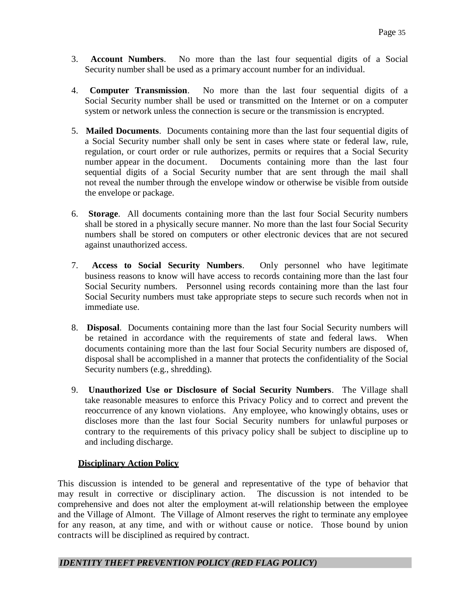- 3. **Account Numbers**. No more than the last four sequential digits of a Social Security number shall be used as a primary account number for an individual.
- 4. **Computer Transmission**. No more than the last four sequential digits of a Social Security number shall be used or transmitted on the Internet or on a computer system or network unless the connection is secure or the transmission is encrypted.
- 5. **Mailed Documents**. Documents containing more than the last four sequential digits of a Social Security number shall only be sent in cases where state or federal law, rule, regulation, or court order or rule authorizes, permits or requires that a Social Security number appear in the document. Documents containing more than the last four sequential digits of a Social Security number that are sent through the mail shall not reveal the number through the envelope window or otherwise be visible from outside the envelope or package.
- 6. **Storage**. All documents containing more than the last four Social Security numbers shall be stored in a physically secure manner. No more than the last four Social Security numbers shall be stored on computers or other electronic devices that are not secured against unauthorized access.
- 7. **Access to Social Security Numbers**. Only personnel who have legitimate business reasons to know will have access to records containing more than the last four Social Security numbers. Personnel using records containing more than the last four Social Security numbers must take appropriate steps to secure such records when not in immediate use.
- 8. **Disposal**. Documents containing more than the last four Social Security numbers will be retained in accordance with the requirements of state and federal laws. When documents containing more than the last four Social Security numbers are disposed of, disposal shall be accomplished in a manner that protects the confidentiality of the Social Security numbers (e.g., shredding).
- 9. **Unauthorized Use or Disclosure of Social Security Numbers**. The Village shall take reasonable measures to enforce this Privacy Policy and to correct and prevent the reoccurrence of any known violations. Any employee, who knowingly obtains, uses or discloses more than the last four Social Security numbers for unlawful purposes or contrary to the requirements of this privacy policy shall be subject to discipline up to and including discharge.

# **Disciplinary Action Policy**

This discussion is intended to be general and representative of the type of behavior that may result in corrective or disciplinary action. The discussion is not intended to be comprehensive and does not alter the employment at-will relationship between the employee and the Village of Almont. The Village of Almont reserves the right to terminate any employee for any reason, at any time, and with or without cause or notice. Those bound by union contracts will be disciplined as required by contract.

# *IDENTITY THEFT PREVENTION POLICY (RED FLAG POLICY)*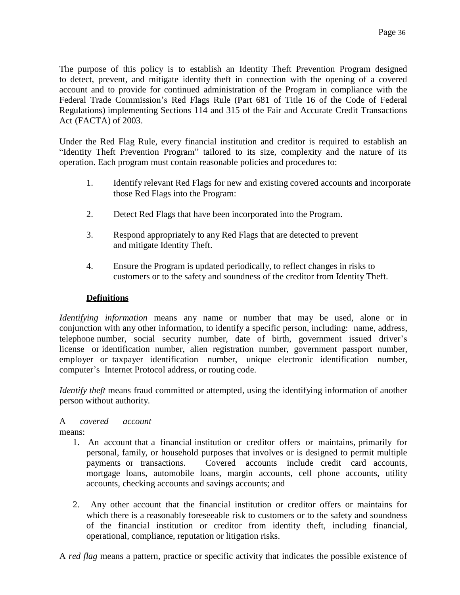The purpose of this policy is to establish an Identity Theft Prevention Program designed to detect, prevent, and mitigate identity theft in connection with the opening of a covered account and to provide for continued administration of the Program in compliance with the Federal Trade Commission's Red Flags Rule (Part 681 of Title 16 of the Code of Federal Regulations) implementing Sections 114 and 315 of the Fair and Accurate Credit Transactions Act (FACTA) of 2003.

Under the Red Flag Rule, every financial institution and creditor is required to establish an "Identity Theft Prevention Program" tailored to its size, complexity and the nature of its operation. Each program must contain reasonable policies and procedures to:

- 1. Identify relevant Red Flags for new and existing covered accounts and incorporate those Red Flags into the Program:
- 2. Detect Red Flags that have been incorporated into the Program.
- 3. Respond appropriately to any Red Flags that are detected to prevent and mitigate Identity Theft.
- 4. Ensure the Program is updated periodically, to reflect changes in risks to customers or to the safety and soundness of the creditor from Identity Theft.

# **Definitions**

*Identifying information* means any name or number that may be used, alone or in conjunction with any other information, to identify a specific person, including: name, address, telephone number, social security number, date of birth, government issued driver's license or identification number, alien registration number, government passport number, employer or taxpayer identification number, unique electronic identification number, computer's Internet Protocol address, or routing code.

*Identify theft* means fraud committed or attempted, using the identifying information of another person without authority.

# A *covered account*

means:

- 1. An account that a financial institution or creditor offers or maintains, primarily for personal, family, or household purposes that involves or is designed to permit multiple payments or transactions. Covered accounts include credit card accounts, mortgage loans, automobile loans, margin accounts, cell phone accounts, utility accounts, checking accounts and savings accounts; and
- 2. Any other account that the financial institution or creditor offers or maintains for which there is a reasonably foreseeable risk to customers or to the safety and soundness of the financial institution or creditor from identity theft, including financial, operational, compliance, reputation or litigation risks.

A *red flag* means a pattern, practice or specific activity that indicates the possible existence of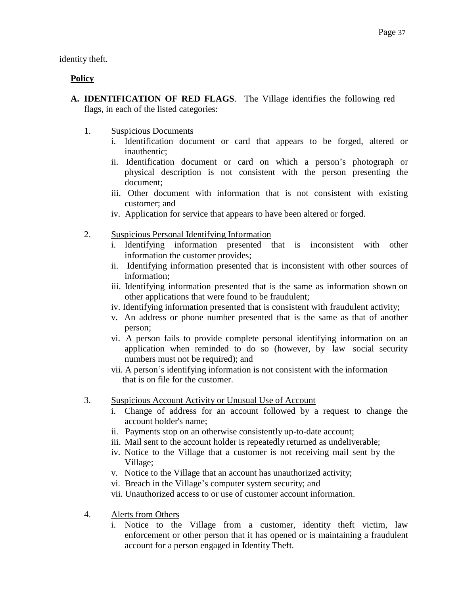identity theft.

# **Policy**

- **A. IDENTIFICATION OF RED FLAGS**. The Village identifies the following red flags, in each of the listed categories:
	- 1. Suspicious Documents
		- i. Identification document or card that appears to be forged, altered or inauthentic;
		- ii. Identification document or card on which a person's photograph or physical description is not consistent with the person presenting the document;
		- iii. Other document with information that is not consistent with existing customer; and
		- iv. Application for service that appears to have been altered or forged.
	- 2. Suspicious Personal Identifying Information
		- i. Identifying information presented that is inconsistent with other information the customer provides;
		- ii. Identifying information presented that is inconsistent with other sources of information;
		- iii. Identifying information presented that is the same as information shown on other applications that were found to be fraudulent;
		- iv. Identifying information presented that is consistent with fraudulent activity;
		- v. An address or phone number presented that is the same as that of another person;
		- vi. A person fails to provide complete personal identifying information on an application when reminded to do so (however, by law social security numbers must not be required); and
		- vii. A person's identifying information is not consistent with the information that is on file for the customer.
	- 3. Suspicious Account Activity or Unusual Use of Account
		- i. Change of address for an account followed by a request to change the account holder's name;
		- ii. Payments stop on an otherwise consistently up-to-date account;
		- iii. Mail sent to the account holder is repeatedly returned as undeliverable;
		- iv. Notice to the Village that a customer is not receiving mail sent by the Village;
		- v. Notice to the Village that an account has unauthorized activity;
		- vi. Breach in the Village's computer system security; and
		- vii. Unauthorized access to or use of customer account information.
	- 4. Alerts from Others
		- i. Notice to the Village from a customer, identity theft victim, law enforcement or other person that it has opened or is maintaining a fraudulent account for a person engaged in Identity Theft.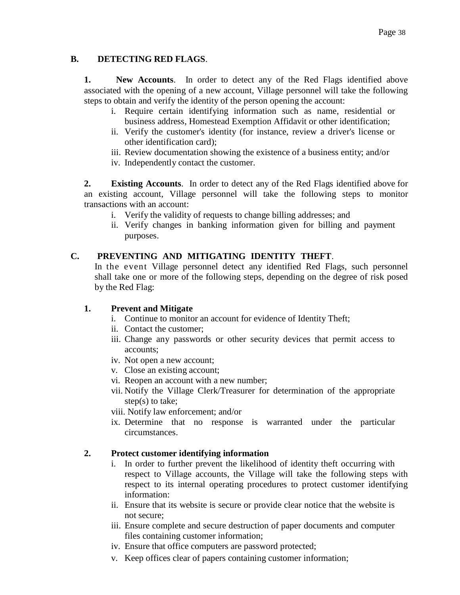# **B. DETECTING RED FLAGS**.

**1. New Accounts**. In order to detect any of the Red Flags identified above associated with the opening of a new account, Village personnel will take the following steps to obtain and verify the identity of the person opening the account:

- i. Require certain identifying information such as name, residential or business address, Homestead Exemption Affidavit or other identification;
- ii. Verify the customer's identity (for instance, review a driver's license or other identification card);
- iii. Review documentation showing the existence of a business entity; and/or
- iv. Independently contact the customer.

**2. Existing Accounts**. In order to detect any of the Red Flags identified above for an existing account, Village personnel will take the following steps to monitor transactions with an account:

- i. Verify the validity of requests to change billing addresses; and
- ii. Verify changes in banking information given for billing and payment purposes.

# **C. PREVENTING AND MITIGATING IDENTITY THEFT**.

In the event Village personnel detect any identified Red Flags, such personnel shall take one or more of the following steps, depending on the degree of risk posed by the Red Flag:

# **1. Prevent and Mitigate**

- i. Continue to monitor an account for evidence of Identity Theft;
- ii. Contact the customer;
- iii. Change any passwords or other security devices that permit access to accounts;
- iv. Not open a new account;
- v. Close an existing account;
- vi. Reopen an account with a new number;
- vii. Notify the Village Clerk/Treasurer for determination of the appropriate step(s) to take;
- viii. Notify law enforcement; and/or
- ix. Determine that no response is warranted under the particular circumstances.

# **2. Protect customer identifying information**

- i. In order to further prevent the likelihood of identity theft occurring with respect to Village accounts, the Village will take the following steps with respect to its internal operating procedures to protect customer identifying information:
- ii. Ensure that its website is secure or provide clear notice that the website is not secure;
- iii. Ensure complete and secure destruction of paper documents and computer files containing customer information;
- iv. Ensure that office computers are password protected;
- v. Keep offices clear of papers containing customer information;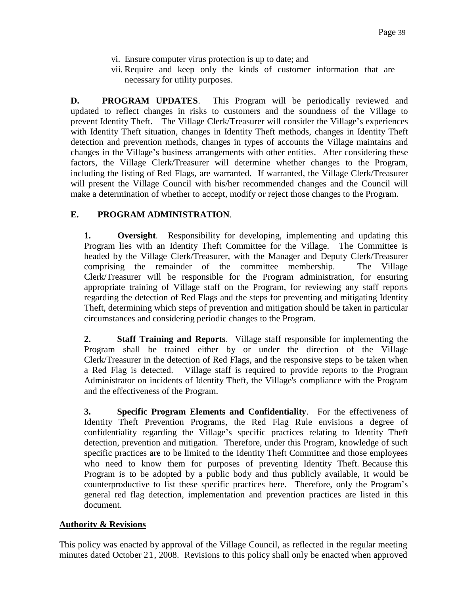- vi. Ensure computer virus protection is up to date; and
- vii. Require and keep only the kinds of customer information that are necessary for utility purposes.

**D. PROGRAM UPDATES.** This Program will be periodically reviewed and updated to reflect changes in risks to customers and the soundness of the Village to prevent Identity Theft. The Village Clerk/Treasurer will consider the Village's experiences with Identity Theft situation, changes in Identity Theft methods, changes in Identity Theft detection and prevention methods, changes in types of accounts the Village maintains and changes in the Village's business arrangements with other entities. After considering these factors, the Village Clerk/Treasurer will determine whether changes to the Program, including the listing of Red Flags, are warranted. If warranted, the Village Clerk/Treasurer will present the Village Council with his/her recommended changes and the Council will make a determination of whether to accept, modify or reject those changes to the Program.

# **E. PROGRAM ADMINISTRATION**.

**1. Oversight**. Responsibility for developing, implementing and updating this Program lies with an Identity Theft Committee for the Village. The Committee is headed by the Village Clerk/Treasurer, with the Manager and Deputy Clerk/Treasurer comprising the remainder of the committee membership. The Village Clerk/Treasurer will be responsible for the Program administration, for ensuring appropriate training of Village staff on the Program, for reviewing any staff reports regarding the detection of Red Flags and the steps for preventing and mitigating Identity Theft, determining which steps of prevention and mitigation should be taken in particular circumstances and considering periodic changes to the Program.

**2. Staff Training and Reports**. Village staff responsible for implementing the Program shall be trained either by or under the direction of the Village Clerk/Treasurer in the detection of Red Flags, and the responsive steps to be taken when a Red Flag is detected. Village staff is required to provide reports to the Program Administrator on incidents of Identity Theft, the Village's compliance with the Program and the effectiveness of the Program.

**3. Specific Program Elements and Confidentiality**. For the effectiveness of Identity Theft Prevention Programs, the Red Flag Rule envisions a degree of confidentiality regarding the Village's specific practices relating to Identity Theft detection, prevention and mitigation. Therefore, under this Program, knowledge of such specific practices are to be limited to the Identity Theft Committee and those employees who need to know them for purposes of preventing Identity Theft. Because this Program is to be adopted by a public body and thus publicly available, it would be counterproductive to list these specific practices here. Therefore, only the Program's general red flag detection, implementation and prevention practices are listed in this document.

# **Authority & Revisions**

This policy was enacted by approval of the Village Council, as reflected in the regular meeting minutes dated October 21, 2008. Revisions to this policy shall only be enacted when approved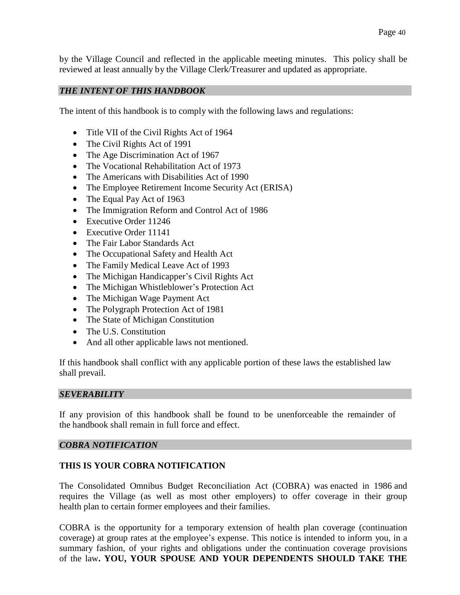by the Village Council and reflected in the applicable meeting minutes. This policy shall be reviewed at least annually by the Village Clerk/Treasurer and updated as appropriate.

# *THE INTENT OF THIS HANDBOOK*

The intent of this handbook is to comply with the following laws and regulations:

- Title VII of the Civil Rights Act of 1964
- The Civil Rights Act of 1991
- The Age Discrimination Act of 1967
- The Vocational Rehabilitation Act of 1973
- The Americans with Disabilities Act of 1990
- The Employee Retirement Income Security Act (ERISA)
- The Equal Pay Act of 1963
- The Immigration Reform and Control Act of 1986
- Executive Order 11246
- Executive Order 11141
- The Fair Labor Standards Act
- The Occupational Safety and Health Act
- The Family Medical Leave Act of 1993
- The Michigan Handicapper's Civil Rights Act
- The Michigan Whistleblower's Protection Act
- The Michigan Wage Payment Act
- The Polygraph Protection Act of 1981
- The State of Michigan Constitution
- The U.S. Constitution
- And all other applicable laws not mentioned.

If this handbook shall conflict with any applicable portion of these laws the established law shall prevail.

#### *SEVERABILITY*

If any provision of this handbook shall be found to be unenforceable the remainder of the handbook shall remain in full force and effect.

#### *COBRA NOTIFICATION*

# **THIS IS YOUR COBRA NOTIFICATION**

The Consolidated Omnibus Budget Reconciliation Act (COBRA) was enacted in 1986 and requires the Village (as well as most other employers) to offer coverage in their group health plan to certain former employees and their families.

COBRA is the opportunity for a temporary extension of health plan coverage (continuation coverage) at group rates at the employee's expense. This notice is intended to inform you, in a summary fashion, of your rights and obligations under the continuation coverage provisions of the law**. YOU, YOUR SPOUSE AND YOUR DEPENDENTS SHOULD TAKE THE**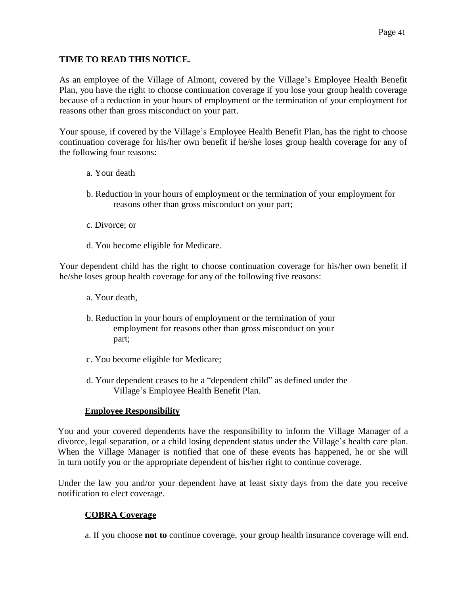# **TIME TO READ THIS NOTICE.**

As an employee of the Village of Almont, covered by the Village's Employee Health Benefit Plan, you have the right to choose continuation coverage if you lose your group health coverage because of a reduction in your hours of employment or the termination of your employment for reasons other than gross misconduct on your part.

Your spouse, if covered by the Village's Employee Health Benefit Plan, has the right to choose continuation coverage for his/her own benefit if he/she loses group health coverage for any of the following four reasons:

- a. Your death
- b. Reduction in your hours of employment or the termination of your employment for reasons other than gross misconduct on your part;
- c. Divorce; or
- d. You become eligible for Medicare.

Your dependent child has the right to choose continuation coverage for his/her own benefit if he/she loses group health coverage for any of the following five reasons:

- a. Your death,
- b. Reduction in your hours of employment or the termination of your employment for reasons other than gross misconduct on your part;
- c. You become eligible for Medicare;
- d. Your dependent ceases to be a "dependent child" as defined under the Village's Employee Health Benefit Plan.

# **Employee Responsibility**

You and your covered dependents have the responsibility to inform the Village Manager of a divorce, legal separation, or a child losing dependent status under the Village's health care plan. When the Village Manager is notified that one of these events has happened, he or she will in turn notify you or the appropriate dependent of his/her right to continue coverage.

Under the law you and/or your dependent have at least sixty days from the date you receive notification to elect coverage.

# **COBRA Coverage**

a. If you choose **not to** continue coverage, your group health insurance coverage will end.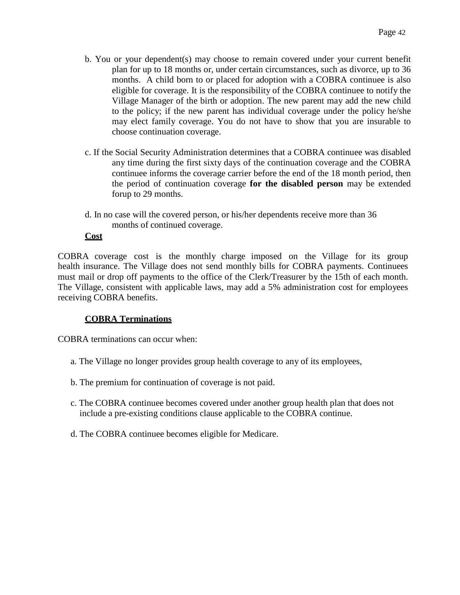- b. You or your dependent(s) may choose to remain covered under your current benefit plan for up to 18 months or, under certain circumstances, such as divorce, up to 36 months. A child born to or placed for adoption with a COBRA continuee is also eligible for coverage. It is the responsibility of the COBRA continuee to notify the Village Manager of the birth or adoption. The new parent may add the new child to the policy; if the new parent has individual coverage under the policy he/she may elect family coverage. You do not have to show that you are insurable to choose continuation coverage.
- c. If the Social Security Administration determines that a COBRA continuee was disabled any time during the first sixty days of the continuation coverage and the COBRA continuee informs the coverage carrier before the end of the 18 month period, then the period of continuation coverage **for the disabled person** may be extended forup to 29 months.
- d. In no case will the covered person, or his/her dependents receive more than 36 months of continued coverage.

# **Cost**

COBRA coverage cost is the monthly charge imposed on the Village for its group health insurance. The Village does not send monthly bills for COBRA payments. Continuees must mail or drop off payments to the office of the Clerk/Treasurer by the 15th of each month. The Village, consistent with applicable laws, may add a 5% administration cost for employees receiving COBRA benefits.

# **COBRA Terminations**

COBRA terminations can occur when:

- a. The Village no longer provides group health coverage to any of its employees,
- b. The premium for continuation of coverage is not paid.
- c. The COBRA continuee becomes covered under another group health plan that does not include a pre-existing conditions clause applicable to the COBRA continue.
- d. The COBRA continuee becomes eligible for Medicare.